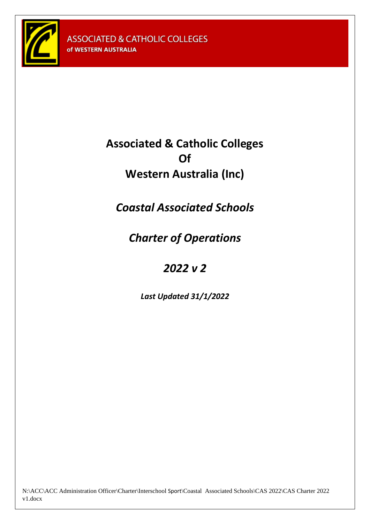

# **Associated & Catholic Colleges Of Western Australia (Inc)**

*Coastal Associated Schools*

*Charter of Operations*

# *2022 v 2*

*Last Updated 31/1/2022*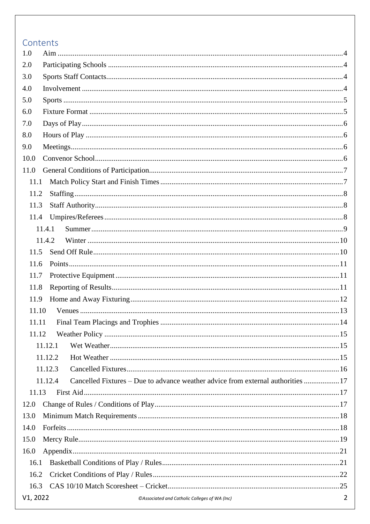# Contents

| 1.0      |                                                                                            |                |
|----------|--------------------------------------------------------------------------------------------|----------------|
| 2.0      |                                                                                            |                |
| 3.0      |                                                                                            |                |
| 4.0      |                                                                                            |                |
| 5.0      |                                                                                            |                |
| 6.0      |                                                                                            |                |
| 7.0      |                                                                                            |                |
| 8.0      |                                                                                            |                |
| 9.0      |                                                                                            |                |
| 10.0     |                                                                                            |                |
| 11.0     |                                                                                            |                |
| 11.1     |                                                                                            |                |
| 11.2     |                                                                                            |                |
| 11.3     |                                                                                            |                |
| 11.4     |                                                                                            |                |
| 11.4.1   |                                                                                            |                |
| 11.4.2   |                                                                                            |                |
| 11.5     |                                                                                            |                |
| 11.6     |                                                                                            |                |
| 11.7     |                                                                                            |                |
| 11.8     |                                                                                            |                |
| 11.9     |                                                                                            |                |
| 11.10    |                                                                                            |                |
| 11.11    |                                                                                            |                |
| 11.12    |                                                                                            |                |
|          | 11.12.1                                                                                    |                |
|          | 11.12.2                                                                                    |                |
|          | 11.12.3                                                                                    |                |
|          | Cancelled Fixtures – Due to advance weather advice from external authorities 17<br>11.12.4 |                |
| 11.13    |                                                                                            |                |
| 12.0     |                                                                                            |                |
| 13.0     |                                                                                            |                |
| 14.0     |                                                                                            |                |
| 15.0     |                                                                                            |                |
| 16.0     |                                                                                            |                |
| 16.1     |                                                                                            |                |
| 16.2     |                                                                                            |                |
| 16.3     |                                                                                            |                |
| V1, 2022 | ©Associated and Catholic Colleges of WA (Inc)                                              | $\overline{2}$ |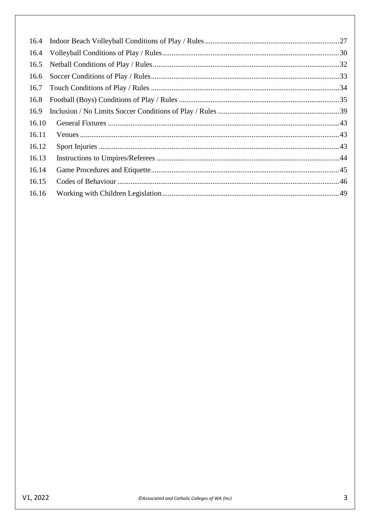| 16.5  |  |
|-------|--|
| 16.6  |  |
|       |  |
| 16.8  |  |
| 16.9  |  |
| 16.10 |  |
| 16.11 |  |
| 16.12 |  |
| 16.13 |  |
| 16.14 |  |
| 16.15 |  |
| 16.16 |  |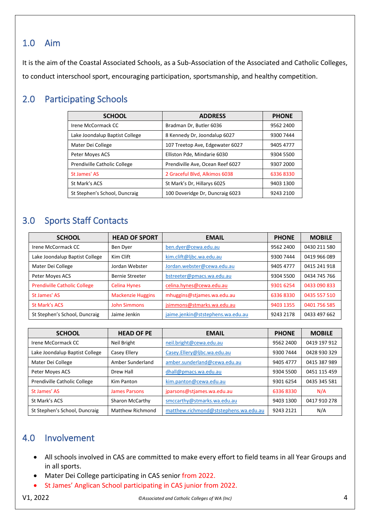# <span id="page-3-0"></span>1.0 Aim

It is the aim of the Coastal Associated Schools, as a Sub-Association of the Associated and Catholic Colleges, to conduct interschool sport, encouraging participation, sportsmanship, and healthy competition.

# <span id="page-3-1"></span>2.0 Participating Schools

| <b>SCHOOL</b>                  | <b>ADDRESS</b>                   | <b>PHONE</b> |
|--------------------------------|----------------------------------|--------------|
| Irene McCormack CC             | Bradman Dr, Butler 6036          | 9562 2400    |
| Lake Joondalup Baptist College | 8 Kennedy Dr, Joondalup 6027     | 9300 7444    |
| Mater Dei College              | 107 Treetop Ave, Edgewater 6027  | 9405 4777    |
| Peter Moyes ACS                | Elliston Pde, Mindarie 6030      | 9304 5500    |
| Prendiville Catholic College   | Prendiville Ave, Ocean Reef 6027 | 9307 2000    |
| St James' AS                   | 2 Graceful Blvd, Alkimos 6038    | 63368330     |
| St Mark's ACS                  | St Mark's Dr, Hillarys 6025      | 9403 1300    |
| St Stephen's School, Duncraig  | 100 Doveridge Dr, Duncraig 6023  | 9243 2100    |

# <span id="page-3-2"></span>3.0 Sports Staff Contacts

| <b>SCHOOL</b>                       | <b>HEAD OF SPORT</b>     | <b>EMAIL</b>                      | <b>PHONE</b> | <b>MOBILE</b> |
|-------------------------------------|--------------------------|-----------------------------------|--------------|---------------|
| Irene McCormack CC                  | Ben Dyer                 | ben.dyer@cewa.edu.au              | 9562 2400    | 0430 211 580  |
| Lake Joondalup Baptist College      | Kim Clift                | kim.clift@ljbc.wa.edu.au          | 9300 7444    | 0419 966 089  |
| Mater Dei College                   | Jordan Webster           | Jordan.webster@cewa.edu.au        | 9405 4777    | 0415 241 918  |
| Peter Moyes ACS                     | Bernie Streeter          | bstreeter@pmacs.wa.edu.au         | 9304 5500    | 0434 745 766  |
| <b>Prendiville Catholic College</b> | <b>Celina Hynes</b>      | celina.hynes@cewa.edu.au          | 9301 6254    | 0433 090 833  |
| St James' AS                        | <b>Mackenzie Huggins</b> | mhuggins@stjames.wa.edu.au        | 63368330     | 0435 557 510  |
| St Mark's ACS                       | <b>John Simmons</b>      | jsimmons@stmarks.wa.edu.au        | 9403 1355    | 0401 756 585  |
| St Stephen's School, Duncraig       | Jaime Jenkin             | jaime.jenkin@ststephens.wa.edu.au | 9243 2178    | 0433 497 662  |

| <b>SCHOOL</b>                  | <b>HEAD OF PE</b>    | <b>EMAIL</b>                          | <b>PHONE</b> | <b>MOBILE</b> |
|--------------------------------|----------------------|---------------------------------------|--------------|---------------|
| Irene McCormack CC             | Neil Bright          | neil.bright@cewa.edu.au               | 9562 2400    | 0419 197 912  |
| Lake Joondalup Baptist College | Casey Ellery         | Casey.Ellery@ljbc.wa.edu.au           | 9300 7444    | 0428 930 329  |
| Mater Dei College              | Amber Sunderland     | amber.sunderland@cewa.edu.au          | 9405 4777    | 0415 387 989  |
| Peter Moyes ACS                | Drew Hall            | dhall@pmacs.wa.edu.au                 | 9304 5500    | 0451 115 459  |
| Prendiville Catholic College   | Kim Panton           | kim.panton@cewa.edu.au                | 9301 6254    | 0435 345 581  |
| St James' AS                   | <b>James Parsons</b> | jparsons@stjames.wa.edu.au            | 63368330     | N/A           |
| St Mark's ACS                  | Sharon McCarthy      | smccarthy@stmarks.wa.edu.au           | 9403 1300    | 0417 910 278  |
| St Stephen's School, Duncraig  | Matthew Richmond     | matthew.richmond@ststephens.wa.edu.au | 9243 2121    | N/A           |

# <span id="page-3-3"></span>4.0 Involvement

- All schools involved in CAS are committed to make every effort to field teams in all Year Groups and in all sports.
- Mater Dei College participating in CAS senior from 2022.
- St James' Anglican School participating in CAS junior from 2022.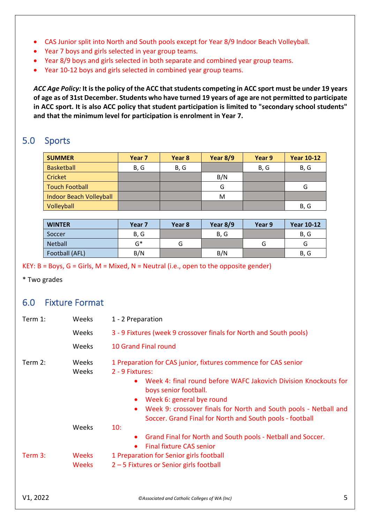- CAS Junior split into North and South pools except for Year 8/9 Indoor Beach Volleyball.
- Year 7 boys and girls selected in year group teams.
- Year 8/9 boys and girls selected in both separate and combined year group teams.
- Year 10-12 boys and girls selected in combined year group teams.

*ACC Age Policy:* **It is the policy of the ACC that students competing in ACC sport must be under 19 years of age as of 31st December. Students who have turned 19 years of age are not permitted to participate in ACC sport. It is also ACC policy that student participation is limited to "secondary school students" and that the minimum level for participation is enrolment in Year 7.**

# <span id="page-4-0"></span>5.0 Sports

| <b>SUMMER</b>                  | Year 7 | Year 8 | Year $8/9$ | Year 9 | <b>Year 10-12</b> |
|--------------------------------|--------|--------|------------|--------|-------------------|
| <b>Basketball</b>              | B, G   | B, G   |            | B, G   | B, G              |
| Cricket                        |        |        | B/N        |        |                   |
| <b>Touch Football</b>          |        |        | G          |        | G                 |
| <b>Indoor Beach Volleyball</b> |        |        | M          |        |                   |
| Volleyball                     |        |        |            |        | B, G              |

| <b>WINTER</b>  | Year 7 | Year 8 | Year 8/9 | Year 9 | <b>Year 10-12</b> |
|----------------|--------|--------|----------|--------|-------------------|
| Soccer         | B, G   |        | B, G     |        | B, G              |
| <b>Netball</b> | ና*     | G      |          | G      |                   |
| Football (AFL) | B/N    |        | B/N      |        | B, G              |

KEY:  $B = Boys$ ,  $G = Girls$ ,  $M = Mixed$ ,  $N = Neutral$  (i.e., open to the opposite gender)

\* Two grades

# <span id="page-4-1"></span>6.0 Fixture Format

| Term 1:                                                                                    | Weeks                        | 1 - 2 Preparation                                                                                                                                                                                                                                                                                                       |
|--------------------------------------------------------------------------------------------|------------------------------|-------------------------------------------------------------------------------------------------------------------------------------------------------------------------------------------------------------------------------------------------------------------------------------------------------------------------|
|                                                                                            | Weeks                        | 3 - 9 Fixtures (week 9 crossover finals for North and South pools)                                                                                                                                                                                                                                                      |
|                                                                                            | Weeks                        | <b>10 Grand Final round</b>                                                                                                                                                                                                                                                                                             |
| Term 2:<br><b>Weeks</b><br>Weeks<br>2 - 9 Fixtures:<br>$\bullet$<br>$\bullet$<br>$\bullet$ |                              | 1 Preparation for CAS junior, fixtures commence for CAS senior<br>Week 4: final round before WAFC Jakovich Division Knockouts for<br>boys senior football.<br>Week 6: general bye round<br>Week 9: crossover finals for North and South pools - Netball and<br>Soccer. Grand Final for North and South pools - football |
|                                                                                            | Weeks                        | 10:<br>Grand Final for North and South pools - Netball and Soccer.<br><b>Final fixture CAS senior</b><br>$\bullet$                                                                                                                                                                                                      |
| Term $3:$                                                                                  | <b>Weeks</b><br><b>Weeks</b> | 1 Preparation for Senior girls football<br>2 – 5 Fixtures or Senior girls football                                                                                                                                                                                                                                      |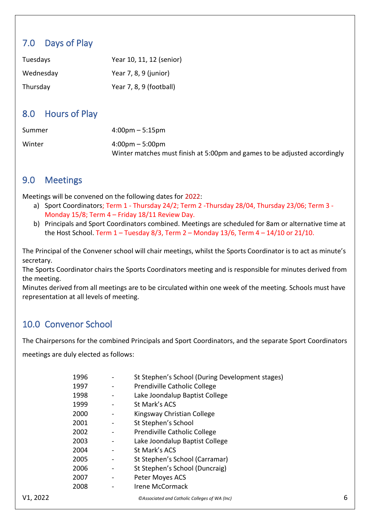# <span id="page-5-0"></span>7.0 Days of Play

| Tuesdays  | Year 10, 11, 12 (senior) |
|-----------|--------------------------|
| Wednesday | Year $7, 8, 9$ (junior)  |
| Thursday  | Year 7, 8, 9 (football)  |

# <span id="page-5-1"></span>8.0 Hours of Play

| Summer | $4:00 \text{pm} - 5:15 \text{pm}$                                         |
|--------|---------------------------------------------------------------------------|
| Winter | $4:00 \text{pm} - 5:00 \text{pm}$                                         |
|        | Winter matches must finish at 5:00pm and games to be adjusted accordingly |

# <span id="page-5-2"></span>9.0 Meetings

Meetings will be convened on the following dates for 2022:

- a) Sport Coordinators; Term 1 Thursday 24/2; Term 2 -Thursday 28/04, Thursday 23/06; Term 3 Monday 15/8; Term 4 – Friday 18/11 Review Day.
- b) Principals and Sport Coordinators combined. Meetings are scheduled for 8am or alternative time at the Host School. Term  $1 -$  Tuesday 8/3, Term  $2 -$  Monday 13/6, Term  $4 - 14/10$  or 21/10.

The Principal of the Convener school will chair meetings, whilst the Sports Coordinator is to act as minute's secretary.

The Sports Coordinator chairs the Sports Coordinators meeting and is responsible for minutes derived from the meeting.

Minutes derived from all meetings are to be circulated within one week of the meeting. Schools must have representation at all levels of meeting.

# <span id="page-5-3"></span>10.0 Convenor School

The Chairpersons for the combined Principals and Sport Coordinators, and the separate Sport Coordinators

meetings are duly elected as follows:

| 1996 | St Stephen's School (During Development stages) |
|------|-------------------------------------------------|
| 1997 | Prendiville Catholic College                    |
| 1998 | Lake Joondalup Baptist College                  |
| 1999 | St Mark's ACS                                   |
| 2000 | Kingsway Christian College                      |
| 2001 | St Stephen's School                             |
| 2002 | Prendiville Catholic College                    |
| 2003 | Lake Joondalup Baptist College                  |
| 2004 | St Mark's ACS                                   |
| 2005 | St Stephen's School (Carramar)                  |
| 2006 | St Stephen's School (Duncraig)                  |
| 2007 | Peter Moyes ACS                                 |
| 2008 | Irene McCormack                                 |
|      |                                                 |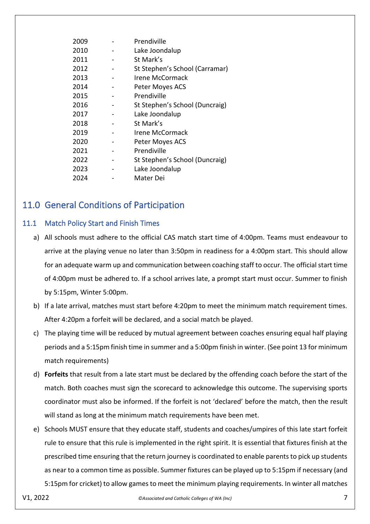| 2009 | Prendiville                    |
|------|--------------------------------|
| 2010 | Lake Joondalup                 |
| 2011 | St Mark's                      |
| 2012 | St Stephen's School (Carramar) |
| 2013 | Irene McCormack                |
| 2014 | Peter Moyes ACS                |
| 2015 | Prendiville                    |
| 2016 | St Stephen's School (Duncraig) |
| 2017 | Lake Joondalup                 |
| 2018 | St Mark's                      |
| 2019 | Irene McCormack                |
| 2020 | Peter Moyes ACS                |
| 2021 | Prendiville                    |
| 2022 | St Stephen's School (Duncraig) |
| 2023 | Lake Joondalup                 |
| 2024 | Mater Dei                      |
|      |                                |

# <span id="page-6-0"></span>11.0 General Conditions of Participation

# <span id="page-6-1"></span>11.1 Match Policy Start and Finish Times

- a) All schools must adhere to the official CAS match start time of 4:00pm. Teams must endeavour to arrive at the playing venue no later than 3:50pm in readiness for a 4:00pm start. This should allow for an adequate warm up and communication between coaching staff to occur. The official start time of 4:00pm must be adhered to. If a school arrives late, a prompt start must occur. Summer to finish by 5:15pm, Winter 5:00pm.
- b) If a late arrival, matches must start before 4:20pm to meet the minimum match requirement times. After 4:20pm a forfeit will be declared, and a social match be played.
- c) The playing time will be reduced by mutual agreement between coaches ensuring equal half playing periods and a 5:15pm finish time in summer and a 5:00pm finish in winter. (See point 13 for minimum match requirements)
- d) **Forfeits** that result from a late start must be declared by the offending coach before the start of the match. Both coaches must sign the scorecard to acknowledge this outcome. The supervising sports coordinator must also be informed. If the forfeit is not 'declared' before the match, then the result will stand as long at the minimum match requirements have been met.
- e) Schools MUST ensure that they educate staff, students and coaches/umpires of this late start forfeit rule to ensure that this rule is implemented in the right spirit. It is essential that fixtures finish at the prescribed time ensuring that the return journey is coordinated to enable parents to pick up students as near to a common time as possible. Summer fixtures can be played up to 5:15pm if necessary (and 5:15pm for cricket) to allow games to meet the minimum playing requirements. In winter all matches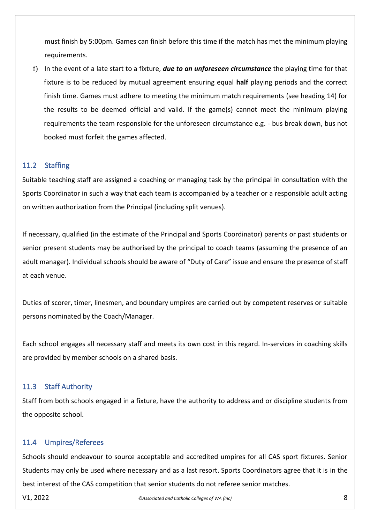must finish by 5:00pm. Games can finish before this time if the match has met the minimum playing requirements.

f) In the event of a late start to a fixture, *due to an unforeseen circumstance* the playing time for that fixture is to be reduced by mutual agreement ensuring equal **half** playing periods and the correct finish time. Games must adhere to meeting the minimum match requirements (see heading 14) for the results to be deemed official and valid. If the game(s) cannot meet the minimum playing requirements the team responsible for the unforeseen circumstance e.g. - bus break down, bus not booked must forfeit the games affected.

## <span id="page-7-0"></span>11.2 Staffing

Suitable teaching staff are assigned a coaching or managing task by the principal in consultation with the Sports Coordinator in such a way that each team is accompanied by a teacher or a responsible adult acting on written authorization from the Principal (including split venues).

If necessary, qualified (in the estimate of the Principal and Sports Coordinator) parents or past students or senior present students may be authorised by the principal to coach teams (assuming the presence of an adult manager). Individual schools should be aware of "Duty of Care" issue and ensure the presence of staff at each venue.

Duties of scorer, timer, linesmen, and boundary umpires are carried out by competent reserves or suitable persons nominated by the Coach/Manager.

Each school engages all necessary staff and meets its own cost in this regard. In-services in coaching skills are provided by member schools on a shared basis.

## <span id="page-7-1"></span>11.3 Staff Authority

Staff from both schools engaged in a fixture, have the authority to address and or discipline students from the opposite school.

### <span id="page-7-2"></span>11.4 Umpires/Referees

Schools should endeavour to source acceptable and accredited umpires for all CAS sport fixtures. Senior Students may only be used where necessary and as a last resort. Sports Coordinators agree that it is in the best interest of the CAS competition that senior students do not referee senior matches.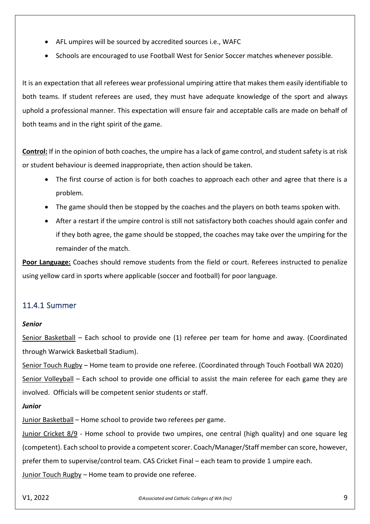- AFL umpires will be sourced by accredited sources i.e., WAFC
- Schools are encouraged to use Football West for Senior Soccer matches whenever possible.

It is an expectation that all referees wear professional umpiring attire that makes them easily identifiable to both teams. If student referees are used, they must have adequate knowledge of the sport and always uphold a professional manner. This expectation will ensure fair and acceptable calls are made on behalf of both teams and in the right spirit of the game.

**Control:** If in the opinion of both coaches, the umpire has a lack of game control, and student safety is at risk or student behaviour is deemed inappropriate, then action should be taken.

- The first course of action is for both coaches to approach each other and agree that there is a problem.
- The game should then be stopped by the coaches and the players on both teams spoken with.
- After a restart if the umpire control is still not satisfactory both coaches should again confer and if they both agree, the game should be stopped, the coaches may take over the umpiring for the remainder of the match.

**Poor Language:** Coaches should remove students from the field or court. Referees instructed to penalize using yellow card in sports where applicable (soccer and football) for poor language.

# <span id="page-8-0"></span>11.4.1 Summer

### *Senior*

Senior Basketball – Each school to provide one (1) referee per team for home and away. (Coordinated through Warwick Basketball Stadium).

Senior Touch Rugby – Home team to provide one referee. (Coordinated through Touch Football WA 2020) Senior Volleyball – Each school to provide one official to assist the main referee for each game they are involved. Officials will be competent senior students or staff.

*Junior*

Junior Basketball – Home school to provide two referees per game.

Junior Cricket 8/9 - Home school to provide two umpires, one central (high quality) and one square leg (competent). Each school to provide a competent scorer. Coach/Manager/Staff member can score, however, prefer them to supervise/control team. CAS Cricket Final – each team to provide 1 umpire each. Junior Touch Rugby – Home team to provide one referee.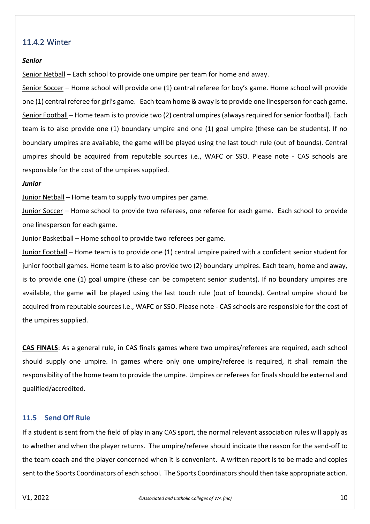# <span id="page-9-0"></span>11.4.2 Winter

#### *Senior*

Senior Netball – Each school to provide one umpire per team for home and away.

Senior Soccer - Home school will provide one (1) central referee for boy's game. Home school will provide one (1) central referee for girl's game. Each team home & away is to provide one linesperson for each game. Senior Football – Home team is to provide two (2) central umpires (always required for senior football). Each team is to also provide one (1) boundary umpire and one (1) goal umpire (these can be students). If no boundary umpires are available, the game will be played using the last touch rule (out of bounds). Central umpires should be acquired from reputable sources i.e., WAFC or SSO. Please note - CAS schools are responsible for the cost of the umpires supplied.

#### *Junior*

Junior Netball – Home team to supply two umpires per game.

Junior Soccer – Home school to provide two referees, one referee for each game. Each school to provide one linesperson for each game.

Junior Basketball – Home school to provide two referees per game.

Junior Football – Home team is to provide one (1) central umpire paired with a confident senior student for junior football games. Home team is to also provide two (2) boundary umpires. Each team, home and away, is to provide one (1) goal umpire (these can be competent senior students). If no boundary umpires are available, the game will be played using the last touch rule (out of bounds). Central umpire should be acquired from reputable sources i.e., WAFC or SSO. Please note - CAS schools are responsible for the cost of the umpires supplied.

**CAS FINALS**: As a general rule, in CAS finals games where two umpires/referees are required, each school should supply one umpire. In games where only one umpire/referee is required, it shall remain the responsibility of the home team to provide the umpire. Umpires or referees for finals should be external and qualified/accredited.

#### <span id="page-9-1"></span>**11.5 Send Off Rule**

If a student is sent from the field of play in any CAS sport, the normal relevant association rules will apply as to whether and when the player returns. The umpire/referee should indicate the reason for the send-off to the team coach and the player concerned when it is convenient. A written report is to be made and copies sent to the Sports Coordinators of each school. The Sports Coordinators should then take appropriate action.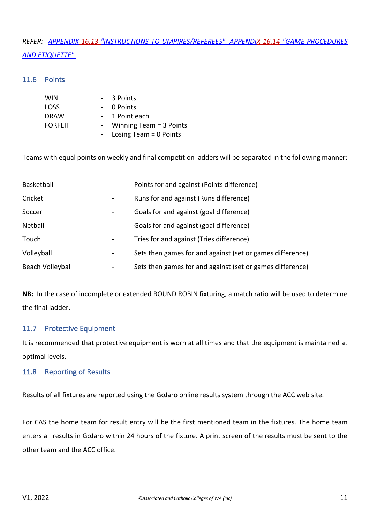# *REFER: APPENDIX 16.13 "INSTRUCTIONS TO UMPIRES/REFEREES", APPENDIX 16.14 "GAME PROCEDURES AND ETIQUETTE".*

### <span id="page-10-0"></span>11.6 Points

| <b>WIN</b>     | 3 Points                  |
|----------------|---------------------------|
| <b>LOSS</b>    | 0 Points                  |
| <b>DRAW</b>    | 1 Point each              |
| <b>FORFEIT</b> | Winning Team $=$ 3 Points |
|                | Losing Team $= 0$ Points  |

Teams with equal points on weekly and final competition ladders will be separated in the following manner:

| Basketball       |   | Points for and against (Points difference)                |
|------------------|---|-----------------------------------------------------------|
| Cricket          | - | Runs for and against (Runs difference)                    |
| Soccer           |   | Goals for and against (goal difference)                   |
| Netball          |   | Goals for and against (goal difference)                   |
| Touch            |   | Tries for and against (Tries difference)                  |
| Volleyball       |   | Sets then games for and against (set or games difference) |
| Beach Volleyball |   | Sets then games for and against (set or games difference) |

**NB:** In the case of incomplete or extended ROUND ROBIN fixturing, a match ratio will be used to determine the final ladder.

## <span id="page-10-1"></span>11.7 Protective Equipment

It is recommended that protective equipment is worn at all times and that the equipment is maintained at optimal levels.

## <span id="page-10-2"></span>11.8 Reporting of Results

Results of all fixtures are reported using the GoJaro online results system through the ACC web site.

For CAS the home team for result entry will be the first mentioned team in the fixtures. The home team enters all results in GoJaro within 24 hours of the fixture. A print screen of the results must be sent to the other team and the ACC office.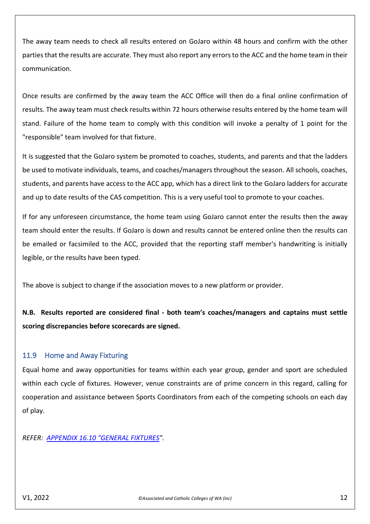The away team needs to check all results entered on GoJaro within 48 hours and confirm with the other parties that the results are accurate. They must also report any errors to the ACC and the home team in their communication.

Once results are confirmed by the away team the ACC Office will then do a final online confirmation of results. The away team must check results within 72 hours otherwise results entered by the home team will stand. Failure of the home team to comply with this condition will invoke a penalty of 1 point for the "responsible" team involved for that fixture.

It is suggested that the GoJaro system be promoted to coaches, students, and parents and that the ladders be used to motivate individuals, teams, and coaches/managers throughout the season. All schools, coaches, students, and parents have access to the ACC app, which has a direct link to the GoJaro ladders for accurate and up to date results of the CAS competition. This is a very useful tool to promote to your coaches.

If for any unforeseen circumstance, the home team using GoJaro cannot enter the results then the away team should enter the results. If GoJaro is down and results cannot be entered online then the results can be emailed or facsimiled to the ACC, provided that the reporting staff member's handwriting is initially legible, or the results have been typed.

The above is subject to change if the association moves to a new platform or provider.

**N.B. Results reported are considered final - both team's coaches/managers and captains must settle scoring discrepancies before scorecards are signed.**

### <span id="page-11-0"></span>11.9 Home and Away Fixturing

Equal home and away opportunities for teams within each year group, gender and sport are scheduled within each cycle of fixtures. However, venue constraints are of prime concern in this regard, calling for cooperation and assistance between Sports Coordinators from each of the competing schools on each day of play.

*REFER: [APPENDIX 16.10](#page-32-1) "GENERAL FIXTURES".*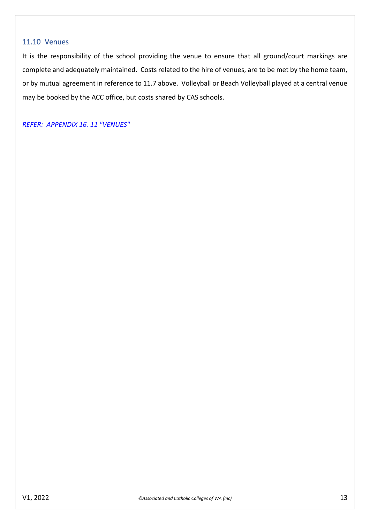## <span id="page-12-0"></span>11.10 Venues

It is the responsibility of the school providing the venue to ensure that all ground/court markings are complete and adequately maintained. Costs related to the hire of venues, are to be met by the home team, or by mutual agreement in reference to 11.7 above. Volleyball or Beach Volleyball played at a central venue may be booked by the ACC office, but costs shared by CAS schools.

*[REFER: APPENDIX](#page-33-1) 16. 11 "VENUES"*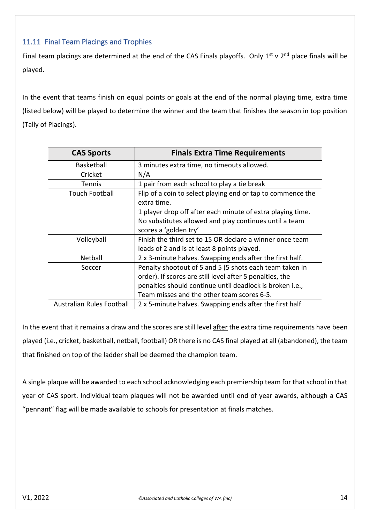# <span id="page-13-0"></span>11.11 Final Team Placings and Trophies

Final team placings are determined at the end of the CAS Finals playoffs. Only  $1^{st}$  v  $2^{nd}$  place finals will be played.

In the event that teams finish on equal points or goals at the end of the normal playing time, extra time (listed below) will be played to determine the winner and the team that finishes the season in top position (Tally of Placings).

| <b>CAS Sports</b>                | <b>Finals Extra Time Requirements</b>                                      |
|----------------------------------|----------------------------------------------------------------------------|
| Basketball                       | 3 minutes extra time, no timeouts allowed.                                 |
| Cricket                          | N/A                                                                        |
| Tennis                           | 1 pair from each school to play a tie break                                |
| <b>Touch Football</b>            | Flip of a coin to select playing end or tap to commence the<br>extra time. |
|                                  | 1 player drop off after each minute of extra playing time.                 |
|                                  | No substitutes allowed and play continues until a team                     |
|                                  | scores a 'golden try'                                                      |
| Volleyball                       | Finish the third set to 15 OR declare a winner once team                   |
|                                  | leads of 2 and is at least 8 points played.                                |
| Netball                          | 2 x 3-minute halves. Swapping ends after the first half.                   |
| Soccer                           | Penalty shootout of 5 and 5 (5 shots each team taken in                    |
|                                  | order). If scores are still level after 5 penalties, the                   |
|                                  | penalties should continue until deadlock is broken i.e.,                   |
|                                  | Team misses and the other team scores 6-5.                                 |
| <b>Australian Rules Football</b> | 2 x 5-minute halves. Swapping ends after the first half                    |

In the event that it remains a draw and the scores are still level after the extra time requirements have been played (i.e., cricket, basketball, netball, football) OR there is no CAS final played at all (abandoned), the team that finished on top of the ladder shall be deemed the champion team.

A single plaque will be awarded to each school acknowledging each premiership team for that school in that year of CAS sport. Individual team plaques will not be awarded until end of year awards, although a CAS "pennant" flag will be made available to schools for presentation at finals matches.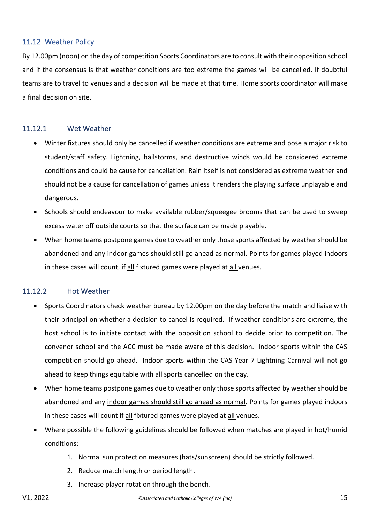## <span id="page-14-0"></span>11.12 Weather Policy

By 12.00pm (noon) on the day of competition Sports Coordinators are to consult with their opposition school and if the consensus is that weather conditions are too extreme the games will be cancelled. If doubtful teams are to travel to venues and a decision will be made at that time. Home sports coordinator will make a final decision on site.

# <span id="page-14-1"></span>11.12.1 Wet Weather

- Winter fixtures should only be cancelled if weather conditions are extreme and pose a major risk to student/staff safety. Lightning, hailstorms, and destructive winds would be considered extreme conditions and could be cause for cancellation. Rain itself is not considered as extreme weather and should not be a cause for cancellation of games unless it renders the playing surface unplayable and dangerous.
- Schools should endeavour to make available rubber/squeegee brooms that can be used to sweep excess water off outside courts so that the surface can be made playable.
- When home teams postpone games due to weather only those sports affected by weather should be abandoned and any indoor games should still go ahead as normal. Points for games played indoors in these cases will count, if all fixtured games were played at all venues.

# <span id="page-14-2"></span>11.12.2 Hot Weather

- Sports Coordinators check weather bureau by 12.00pm on the day before the match and liaise with their principal on whether a decision to cancel is required. If weather conditions are extreme, the host school is to initiate contact with the opposition school to decide prior to competition. The convenor school and the ACC must be made aware of this decision. Indoor sports within the CAS competition should go ahead. Indoor sports within the CAS Year 7 Lightning Carnival will not go ahead to keep things equitable with all sports cancelled on the day.
- When home teams postpone games due to weather only those sports affected by weather should be abandoned and any indoor games should still go ahead as normal. Points for games played indoors in these cases will count if all fixtured games were played at all venues.
- Where possible the following guidelines should be followed when matches are played in hot/humid conditions:
	- 1. Normal sun protection measures (hats/sunscreen) should be strictly followed.
	- 2. Reduce match length or period length.
	- 3. Increase player rotation through the bench.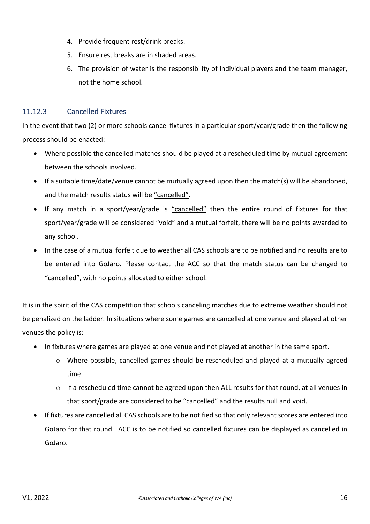- 4. Provide frequent rest/drink breaks.
- 5. Ensure rest breaks are in shaded areas.
- 6. The provision of water is the responsibility of individual players and the team manager, not the home school.

# <span id="page-15-0"></span>11.12.3 Cancelled Fixtures

In the event that two (2) or more schools cancel fixtures in a particular sport/year/grade then the following process should be enacted:

- Where possible the cancelled matches should be played at a rescheduled time by mutual agreement between the schools involved.
- If a suitable time/date/venue cannot be mutually agreed upon then the match(s) will be abandoned, and the match results status will be "cancelled".
- If any match in a sport/year/grade is "cancelled" then the entire round of fixtures for that sport/year/grade will be considered "void" and a mutual forfeit, there will be no points awarded to any school.
- In the case of a mutual forfeit due to weather all CAS schools are to be notified and no results are to be entered into GoJaro. Please contact the ACC so that the match status can be changed to "cancelled", with no points allocated to either school.

It is in the spirit of the CAS competition that schools canceling matches due to extreme weather should not be penalized on the ladder. In situations where some games are cancelled at one venue and played at other venues the policy is:

- In fixtures where games are played at one venue and not played at another in the same sport.
	- o Where possible, cancelled games should be rescheduled and played at a mutually agreed time.
	- $\circ$  If a rescheduled time cannot be agreed upon then ALL results for that round, at all venues in that sport/grade are considered to be "cancelled" and the results null and void.
- If fixtures are cancelled all CAS schools are to be notified so that only relevant scores are entered into GoJaro for that round. ACC is to be notified so cancelled fixtures can be displayed as cancelled in GoJaro.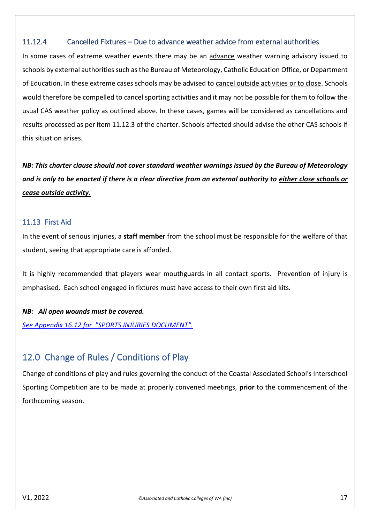# <span id="page-16-0"></span>11.12.4 Cancelled Fixtures – Due to advance weather advice from external authorities

In some cases of extreme weather events there may be an advance weather warning advisory issued to schools by external authorities such as the Bureau of Meteorology, Catholic Education Office, or Department of Education. In these extreme cases schools may be advised to cancel outside activities or to close. Schools would therefore be compelled to cancel sporting activities and it may not be possible for them to follow the usual CAS weather policy as outlined above. In these cases, games will be considered as cancellations and results processed as per item 11.12.3 of the charter. Schools affected should advise the other CAS schools if this situation arises.

*NB: This charter clause should not cover standard weather warnings issued by the Bureau of Meteorology and is only to be enacted if there is a clear directive from an external authority to either close schools or cease outside activity.* 

## <span id="page-16-1"></span>11.13 First Aid

In the event of serious injuries, a **staff member** from the school must be responsible for the welfare of that student, seeing that appropriate care is afforded.

It is highly recommended that players wear mouthguards in all contact sports. Prevention of injury is emphasised. Each school engaged in fixtures must have access to their own first aid kits.

### *NB: All open wounds must be covered.*

*See Appendix 16.12 for "SPORTS INJURIES DOCUMENT".*

# <span id="page-16-2"></span>12.0 Change of Rules / Conditions of Play

Change of conditions of play and rules governing the conduct of the Coastal Associated School's Interschool Sporting Competition are to be made at properly convened meetings, **prior** to the commencement of the forthcoming season.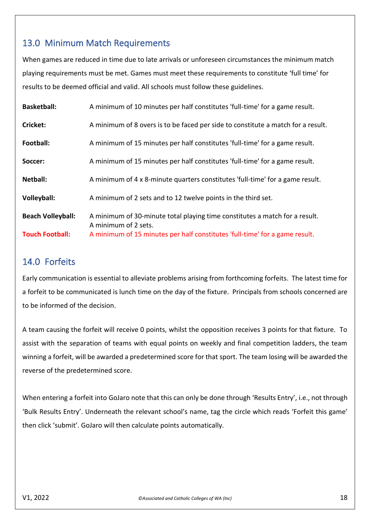# <span id="page-17-0"></span>13.0 Minimum Match Requirements

When games are reduced in time due to late arrivals or unforeseen circumstances the minimum match playing requirements must be met. Games must meet these requirements to constitute 'full time' for results to be deemed official and valid. All schools must follow these guidelines.

| <b>Basketball:</b>       | A minimum of 10 minutes per half constitutes 'full-time' for a game result.                         |
|--------------------------|-----------------------------------------------------------------------------------------------------|
| Cricket:                 | A minimum of 8 overs is to be faced per side to constitute a match for a result.                    |
| Football:                | A minimum of 15 minutes per half constitutes 'full-time' for a game result.                         |
| Soccer:                  | A minimum of 15 minutes per half constitutes 'full-time' for a game result.                         |
| Netball:                 | A minimum of 4 x 8-minute quarters constitutes 'full-time' for a game result.                       |
| Volleyball:              | A minimum of 2 sets and to 12 twelve points in the third set.                                       |
| <b>Beach Volleyball:</b> | A minimum of 30-minute total playing time constitutes a match for a result.<br>A minimum of 2 sets. |
| <b>Touch Football:</b>   | A minimum of 15 minutes per half constitutes 'full-time' for a game result.                         |

# <span id="page-17-1"></span>14.0 Forfeits

Early communication is essential to alleviate problems arising from forthcoming forfeits. The latest time for a forfeit to be communicated is lunch time on the day of the fixture. Principals from schools concerned are to be informed of the decision.

A team causing the forfeit will receive 0 points, whilst the opposition receives 3 points for that fixture. To assist with the separation of teams with equal points on weekly and final competition ladders, the team winning a forfeit, will be awarded a predetermined score for that sport. The team losing will be awarded the reverse of the predetermined score.

When entering a forfeit into GoJaro note that this can only be done through 'Results Entry', i.e., not through 'Bulk Results Entry'. Underneath the relevant school's name, tag the circle which reads 'Forfeit this game' then click 'submit'. GoJaro will then calculate points automatically.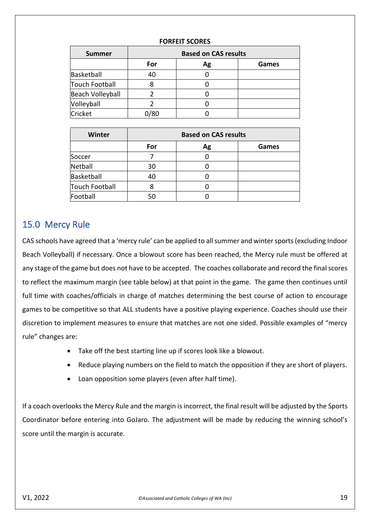#### **FORFEIT SCORES**

| <b>Summer</b>           | <b>Based on CAS results</b> |    |              |  |
|-------------------------|-----------------------------|----|--------------|--|
|                         | For                         | Ag | <b>Games</b> |  |
| Basketball              | 40                          |    |              |  |
| <b>Touch Football</b>   |                             |    |              |  |
| <b>Beach Volleyball</b> |                             |    |              |  |
| Volleyball              |                             |    |              |  |
| Cricket                 |                             |    |              |  |

| Winter         | <b>Based on CAS results</b> |    |              |
|----------------|-----------------------------|----|--------------|
|                | For                         | Ag | <b>Games</b> |
| Soccer         |                             |    |              |
| Netball        | 30                          |    |              |
| Basketball     | 40                          |    |              |
| Touch Football |                             |    |              |
| Football       | 50                          |    |              |

# <span id="page-18-0"></span>15.0 Mercy Rule

CAS schools have agreed that a 'mercy rule' can be applied to all summer and winter sports (excluding Indoor Beach Volleyball) if necessary. Once a blowout score has been reached, the Mercy rule must be offered at any stage of the game but does not have to be accepted. The coaches collaborate and record the final scores to reflect the maximum margin (see table below) at that point in the game. The game then continues until full time with coaches/officials in charge of matches determining the best course of action to encourage games to be competitive so that ALL students have a positive playing experience. Coaches should use their discretion to implement measures to ensure that matches are not one sided. Possible examples of "mercy rule" changes are:

- Take off the best starting line up if scores look like a blowout.
- Reduce playing numbers on the field to match the opposition if they are short of players.
- Loan opposition some players (even after half time).

If a coach overlooks the Mercy Rule and the margin is incorrect, the final result will be adjusted by the Sports Coordinator before entering into GoJaro. The adjustment will be made by reducing the winning school's score until the margin is accurate.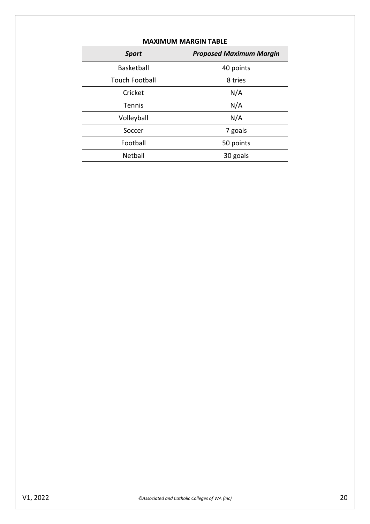| <b>Sport</b>          | <b>Proposed Maximum Margin</b> |  |
|-----------------------|--------------------------------|--|
| Basketball            | 40 points                      |  |
| <b>Touch Football</b> | 8 tries                        |  |
| Cricket               | N/A                            |  |
| <b>Tennis</b>         | N/A                            |  |
| Volleyball            | N/A                            |  |
| Soccer                | 7 goals                        |  |
| Football              | 50 points                      |  |
| Netball               | 30 goals                       |  |

### **MAXIMUM MARGIN TABLE**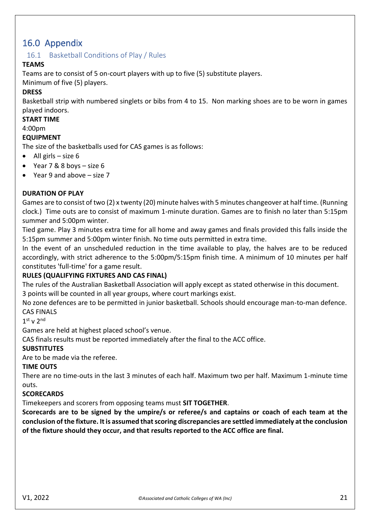# <span id="page-20-0"></span>16.0 Appendix

## <span id="page-20-1"></span>16.1 Basketball Conditions of Play / Rules

### **TEAMS**

Teams are to consist of 5 on-court players with up to five (5) substitute players.

Minimum of five (5) players.

### **DRESS**

Basketball strip with numbered singlets or bibs from 4 to 15. Non marking shoes are to be worn in games played indoors.

#### **START TIME**

4:00pm

### **EQUIPMENT**

The size of the basketballs used for CAS games is as follows:

- All girls  $-$  size 6
- Year 7 & 8 boys size 6
- Year 9 and above size 7

### **DURATION OF PLAY**

Games are to consist of two (2) x twenty (20) minute halves with 5 minutes changeover at half time. (Running clock.) Time outs are to consist of maximum 1-minute duration. Games are to finish no later than 5:15pm summer and 5:00pm winter.

Tied game. Play 3 minutes extra time for all home and away games and finals provided this falls inside the 5:15pm summer and 5:00pm winter finish. No time outs permitted in extra time.

In the event of an unscheduled reduction in the time available to play, the halves are to be reduced accordingly, with strict adherence to the 5:00pm/5:15pm finish time. A minimum of 10 minutes per half constitutes 'full-time' for a game result.

### **RULES (QUALIFYING FIXTURES AND CAS FINAL)**

The rules of the Australian Basketball Association will apply except as stated otherwise in this document. 3 points will be counted in all year groups, where court markings exist.

No zone defences are to be permitted in junior basketball. Schools should encourage man-to-man defence. CAS FINALS

 $1<sup>st</sup>$  v  $2<sup>nd</sup>$ 

Games are held at highest placed school's venue.

CAS finals results must be reported immediately after the final to the ACC office.

### **SUBSTITUTES**

Are to be made via the referee.

### **TIME OUTS**

There are no time-outs in the last 3 minutes of each half. Maximum two per half. Maximum 1-minute time outs.

### **SCORECARDS**

Timekeepers and scorers from opposing teams must **SIT TOGETHER**.

**Scorecards are to be signed by the umpire/s or referee/s and captains or coach of each team at the conclusion of the fixture. It is assumed that scoring discrepancies are settled immediately at the conclusion of the fixture should they occur, and that results reported to the ACC office are final.**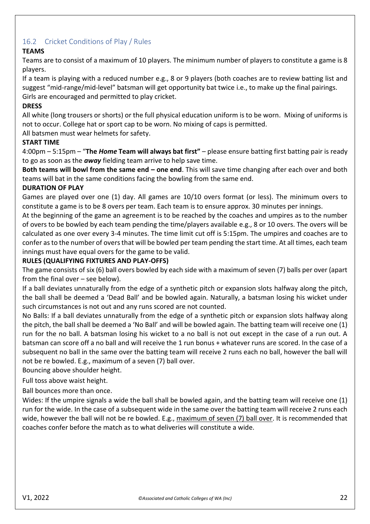# <span id="page-21-0"></span>16.2 Cricket Conditions of Play / Rules

## **TEAMS**

Teams are to consist of a maximum of 10 players. The minimum number of players to constitute a game is 8 players.

If a team is playing with a reduced number e.g., 8 or 9 players (both coaches are to review batting list and suggest "mid-range/mid-level" batsman will get opportunity bat twice i.e., to make up the final pairings. Girls are encouraged and permitted to play cricket.

### **DRESS**

All white (long trousers or shorts) or the full physical education uniform is to be worn. Mixing of uniforms is not to occur. College hat or sport cap to be worn. No mixing of caps is permitted.

All batsmen must wear helmets for safety.

### **START TIME**

4:00pm – 5:15pm – "**The** *Home* **Team will always bat first"** – please ensure batting first batting pair is ready to go as soon as the *away* fielding team arrive to help save time.

**Both teams will bowl from the same end – one end**. This will save time changing after each over and both teams will bat in the same conditions facing the bowling from the same end.

### **DURATION OF PLAY**

Games are played over one (1) day. All games are 10/10 overs format (or less). The minimum overs to constitute a game is to be 8 overs per team. Each team is to ensure approx. 30 minutes per innings.

At the beginning of the game an agreement is to be reached by the coaches and umpires as to the number of overs to be bowled by each team pending the time/players available e.g., 8 or 10 overs. The overs will be calculated as one over every 3-4 minutes. The time limit cut off is 5:15pm. The umpires and coaches are to confer as to the number of overs that will be bowled per team pending the start time. At all times, each team innings must have equal overs for the game to be valid.

### **RULES (QUALIFYING FIXTURES AND PLAY-OFFS)**

The game consists of six (6) ball overs bowled by each side with a maximum of seven (7) balls per over (apart from the final over – see below).

If a ball deviates unnaturally from the edge of a synthetic pitch or expansion slots halfway along the pitch, the ball shall be deemed a 'Dead Ball' and be bowled again. Naturally, a batsman losing his wicket under such circumstances is not out and any runs scored are not counted.

No Balls: If a ball deviates unnaturally from the edge of a synthetic pitch or expansion slots halfway along the pitch, the ball shall be deemed a 'No Ball' and will be bowled again. The batting team will receive one (1) run for the no ball. A batsman losing his wicket to a no ball is not out except in the case of a run out. A batsman can score off a no ball and will receive the 1 run bonus + whatever runs are scored. In the case of a subsequent no ball in the same over the batting team will receive 2 runs each no ball, however the ball will not be re bowled. E.g., maximum of a seven (7) ball over.

Bouncing above shoulder height.

## Full toss above waist height.

Ball bounces more than once.

Wides: If the umpire signals a wide the ball shall be bowled again, and the batting team will receive one (1) run for the wide. In the case of a subsequent wide in the same over the batting team will receive 2 runs each wide, however the ball will not be re bowled. E.g., maximum of seven (7) ball over. It is recommended that coaches confer before the match as to what deliveries will constitute a wide.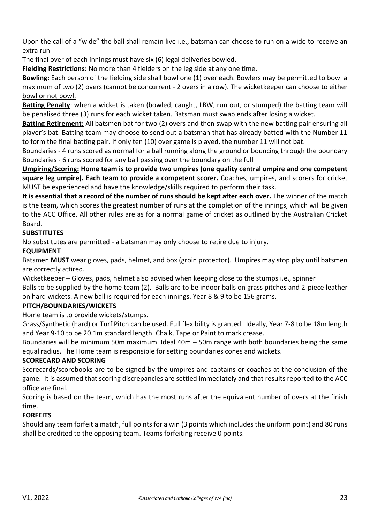Upon the call of a "wide" the ball shall remain live i.e., batsman can choose to run on a wide to receive an extra run

The final over of each innings must have six (6) legal deliveries bowled.

**Fielding Restrictions:** No more than 4 fielders on the leg side at any one time.

**Bowling:** Each person of the fielding side shall bowl one (1) over each. Bowlers may be permitted to bowl a maximum of two (2) overs (cannot be concurrent - 2 overs in a row). The wicketkeeper can choose to either bowl or not bowl.

**Batting Penalty**: when a wicket is taken (bowled, caught, LBW, run out, or stumped) the batting team will be penalised three (3) runs for each wicket taken. Batsman must swap ends after losing a wicket.

**Batting Retirement:** All batsmen bat for two (2) overs and then swap with the new batting pair ensuring all player's bat. Batting team may choose to send out a batsman that has already batted with the Number 11 to form the final batting pair. If only ten (10) over game is played, the number 11 will not bat.

Boundaries - 4 runs scored as normal for a ball running along the ground or bouncing through the boundary Boundaries - 6 runs scored for any ball passing over the boundary on the full

**Umpiring/Scoring: Home team is to provide two umpires (one quality central umpire and one competent square leg umpire). Each team to provide a competent scorer.** Coaches, umpires, and scorers for cricket MUST be experienced and have the knowledge/skills required to perform their task.

**It is essential that a record of the number of runs should be kept after each over.** The winner of the match is the team, which scores the greatest number of runs at the completion of the innings, which will be given to the ACC Office. All other rules are as for a normal game of cricket as outlined by the Australian Cricket Board.

# **SUBSTITUTES**

No substitutes are permitted - a batsman may only choose to retire due to injury.

# **EQUIPMENT**

Batsmen **MUST** wear gloves, pads, helmet, and box (groin protector). Umpires may stop play until batsmen are correctly attired.

Wicketkeeper – Gloves, pads, helmet also advised when keeping close to the stumps i.e., spinner Balls to be supplied by the home team (2). Balls are to be indoor balls on grass pitches and 2-piece leather on hard wickets. A new ball is required for each innings. Year 8 & 9 to be 156 grams.

# **PITCH/BOUNDARIES/WICKETS**

Home team is to provide wickets/stumps.

Grass/Synthetic (hard) or Turf Pitch can be used. Full flexibility is granted. Ideally, Year 7-8 to be 18m length and Year 9-10 to be 20.1m standard length. Chalk, Tape or Paint to mark crease.

Boundaries will be minimum 50m maximum. Ideal 40m – 50m range with both boundaries being the same equal radius. The Home team is responsible for setting boundaries cones and wickets.

## **SCORECARD AND SCORING**

Scorecards/scorebooks are to be signed by the umpires and captains or coaches at the conclusion of the game. It is assumed that scoring discrepancies are settled immediately and that results reported to the ACC office are final.

Scoring is based on the team, which has the most runs after the equivalent number of overs at the finish time.

# **FORFEITS**

Should any team forfeit a match, full points for a win (3 points which includes the uniform point) and 80 runs shall be credited to the opposing team. Teams forfeiting receive 0 points.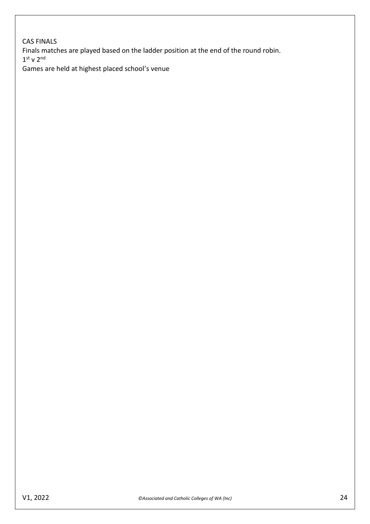CAS FINALS Finals matches are played based on the ladder position at the end of the round robin.  $1<sup>st</sup>$  v  $2<sup>nd</sup>$ Games are held at highest placed school's venue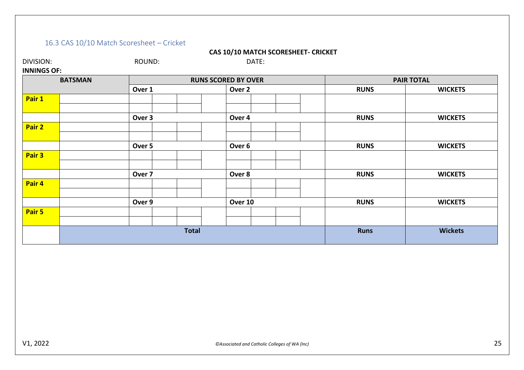# 16.3 CAS 10/10 Match Scoresheet – Cricket

#### **CAS 10/10 MATCH SCORESHEET- CRICKET**

| DIVISION:                            | ROUND:            | DATE:                      |             |                   |
|--------------------------------------|-------------------|----------------------------|-------------|-------------------|
| <b>INNINGS OF:</b><br><b>BATSMAN</b> |                   | <b>RUNS SCORED BY OVER</b> |             | <b>PAIR TOTAL</b> |
|                                      | Over 1            | Over 2                     | <b>RUNS</b> | <b>WICKETS</b>    |
| Pair 1                               |                   |                            |             |                   |
|                                      | Over 3            | Over 4                     | <b>RUNS</b> | <b>WICKETS</b>    |
| Pair 2                               |                   |                            |             |                   |
|                                      | Over 5            | Over <sub>6</sub>          | <b>RUNS</b> | <b>WICKETS</b>    |
| Pair 3                               |                   |                            |             |                   |
|                                      | Over <sub>7</sub> | Over 8                     | <b>RUNS</b> | <b>WICKETS</b>    |
| Pair 4                               |                   |                            |             |                   |
|                                      | Over 9            | Over 10                    | <b>RUNS</b> | <b>WICKETS</b>    |
| Pair 5                               |                   |                            |             |                   |
|                                      |                   |                            |             |                   |

<span id="page-24-0"></span>**Total Runs Wickets**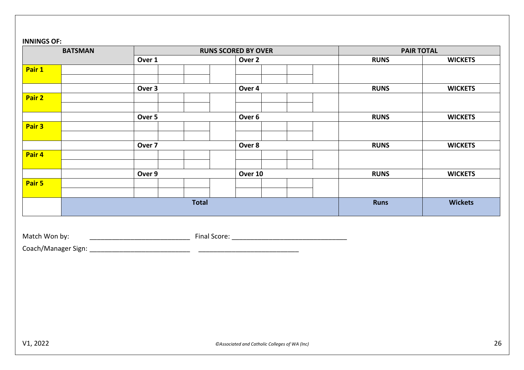#### **INNINGS OF:**

| <b>BATSMAN</b> |        | <b>RUNS SCORED BY OVER</b>                    |             | <b>PAIR TOTAL</b> |
|----------------|--------|-----------------------------------------------|-------------|-------------------|
|                | Over 1 | Over 2                                        | <b>RUNS</b> | <b>WICKETS</b>    |
| Pair 1         |        |                                               |             |                   |
|                |        |                                               |             |                   |
| Pair 2         | Over 3 | Over 4                                        | <b>RUNS</b> | <b>WICKETS</b>    |
|                |        |                                               |             |                   |
|                | Over 5 | Over 6                                        | <b>RUNS</b> | <b>WICKETS</b>    |
| Pair 3         |        |                                               |             |                   |
|                | Over 7 | Over 8                                        | <b>RUNS</b> | <b>WICKETS</b>    |
| Pair 4         |        |                                               |             |                   |
|                |        |                                               |             |                   |
| Pair 5         | Over 9 | Over 10                                       | <b>RUNS</b> | <b>WICKETS</b>    |
|                |        |                                               |             |                   |
|                |        | <b>Total</b>                                  | <b>Runs</b> | <b>Wickets</b>    |
|                |        |                                               |             |                   |
|                |        |                                               |             |                   |
| Match Won by:  |        |                                               |             |                   |
|                |        |                                               |             |                   |
|                |        |                                               |             |                   |
|                |        |                                               |             |                   |
|                |        |                                               |             |                   |
|                |        |                                               |             |                   |
|                |        |                                               |             |                   |
|                |        |                                               |             |                   |
|                |        |                                               |             |                   |
|                |        |                                               |             |                   |
| V1, 2022       |        | ©Associated and Catholic Colleges of WA (Inc) |             | 26                |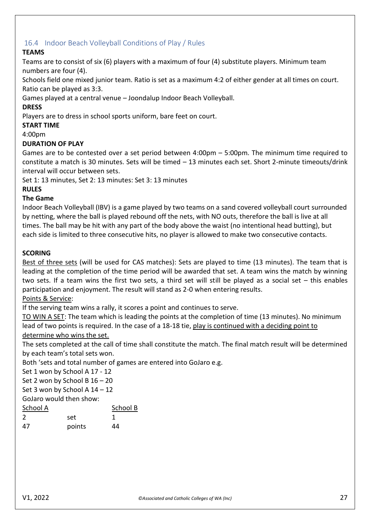# <span id="page-26-0"></span>16.4 Indoor Beach Volleyball Conditions of Play / Rules

# **TEAMS**

Teams are to consist of six (6) players with a maximum of four (4) substitute players. Minimum team numbers are four (4).

Schools field one mixed junior team. Ratio is set as a maximum 4:2 of either gender at all times on court. Ratio can be played as 3:3.

Games played at a central venue – Joondalup Indoor Beach Volleyball.

## **DRESS**

Players are to dress in school sports uniform, bare feet on court.

### **START TIME**

4:00pm

### **DURATION OF PLAY**

Games are to be contested over a set period between 4:00pm – 5:00pm. The minimum time required to constitute a match is 30 minutes. Sets will be timed – 13 minutes each set. Short 2-minute timeouts/drink interval will occur between sets.

Set 1: 13 minutes, Set 2: 13 minutes: Set 3: 13 minutes

### **RULES**

### **The Game**

Indoor Beach Volleyball (IBV) is a game played by two teams on a sand covered volleyball court surrounded by netting, where the ball is played rebound off the nets, with NO outs, therefore the ball is live at all times. The ball may be hit with any part of the body above the waist (no intentional head butting), but each side is limited to three consecutive hits, no player is allowed to make two consecutive contacts.

### **SCORING**

Best of three sets (will be used for CAS matches): Sets are played to time (13 minutes). The team that is leading at the completion of the time period will be awarded that set. A team wins the match by winning two sets. If a team wins the first two sets, a third set will still be played as a social set – this enables participation and enjoyment. The result will stand as 2-0 when entering results.

Points & Service:

If the serving team wins a rally, it scores a point and continues to serve.

TO WIN A SET: The team which is leading the points at the completion of time (13 minutes). No minimum lead of two points is required. In the case of a 18-18 tie, play is continued with a deciding point to determine who wins the set.

The sets completed at the call of time shall constitute the match. The final match result will be determined by each team's total sets won.

Both 'sets and total number of games are entered into GoJaro e.g.

Set 1 won by School A 17 - 12

Set 2 won by School B 16 – 20

Set 3 won by School A 14 – 12

GoJaro would then show:

| School A | School B |    |
|----------|----------|----|
| 2        | set      |    |
| 47       | points   | 44 |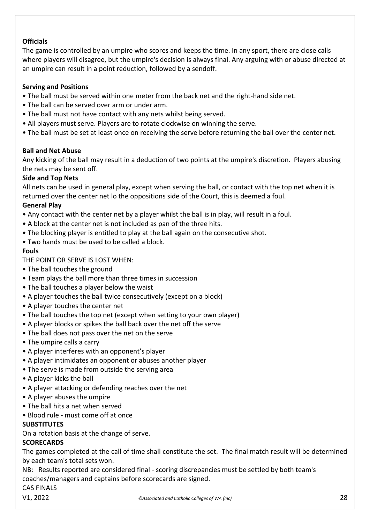# **Officials**

The game is controlled by an umpire who scores and keeps the time. In any sport, there are close calls where players will disagree, but the umpire's decision is always final. Any arguing with or abuse directed at an umpire can result in a point reduction, followed by a sendoff.

## **Serving and Positions**

- The ball must be served within one meter from the back net and the right-hand side net.
- The ball can be served over arm or under arm.
- The ball must not have contact with any nets whilst being served.
- All players must serve. Players are to rotate clockwise on winning the serve.
- The ball must be set at least once on receiving the serve before returning the ball over the center net.

### **Ball and Net Abuse**

Any kicking of the ball may result in a deduction of two points at the umpire's discretion. Players abusing the nets may be sent off.

### **Side and Top Nets**

All nets can be used in general play, except when serving the ball, or contact with the top net when it is returned over the center net lo the oppositions side of the Court, this is deemed a foul.

### **General Play**

- Any contact with the center net by a player whilst the ball is in play, will result in a foul.
- A block at the center net is not included as pan of the three hits.
- The blocking player is entitled to play at the ball again on the consecutive shot.
- Two hands must be used to be called a block.

### **Fouls**

THE POINT OR SERVE IS LOST WHEN:

- The ball touches the ground
- Team plays the ball more than three times in succession
- The ball touches a player below the waist
- A player touches the ball twice consecutively (except on a block)
- A player touches the center net
- The ball touches the top net (except when setting to your own player)
- A player blocks or spikes the ball back over the net off the serve
- The ball does not pass over the net on the serve
- The umpire calls a carry
- A player interferes with an opponent's player
- A player intimidates an opponent or abuses another player
- The serve is made from outside the serving area
- A player kicks the ball
- A player attacking or defending reaches over the net
- A player abuses the umpire
- The ball hits a net when served
- Blood rule must come off at once

## **SUBSTITUTES**

On a rotation basis at the change of serve.

## **SCORECARDS**

The games completed at the call of time shall constitute the set. The final match result will be determined by each team's total sets won.

NB: Results reported are considered final - scoring discrepancies must be settled by both team's coaches/managers and captains before scorecards are signed.

CAS FINALS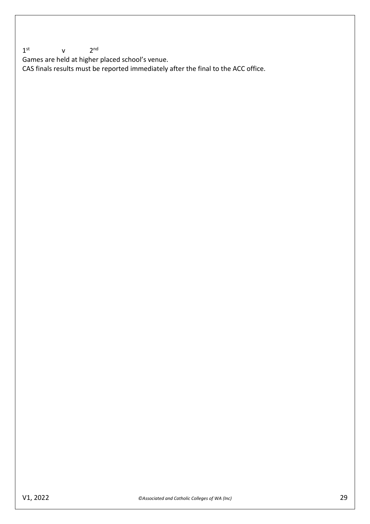$1<sup>st</sup>$  $V$  $2<sup>nd</sup>$ 

Games are held at higher placed school's venue.

CAS finals results must be reported immediately after the final to the ACC office.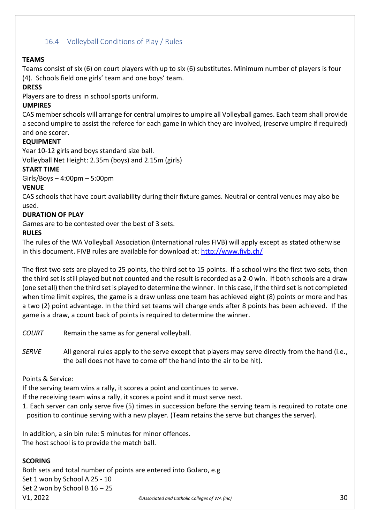# <span id="page-29-0"></span>16.4 Volleyball Conditions of Play / Rules

### **TEAMS**

Teams consist of six (6) on court players with up to six (6) substitutes. Minimum number of players is four (4). Schools field one girls' team and one boys' team.

### **DRESS**

Players are to dress in school sports uniform.

### **UMPIRES**

CAS member schools will arrange for central umpires to umpire all Volleyball games. Each team shall provide a second umpire to assist the referee for each game in which they are involved, (reserve umpire if required) and one scorer.

### **EQUIPMENT**

Year 10-12 girls and boys standard size ball. Volleyball Net Height: 2.35m (boys) and 2.15m (girls)

### **START TIME**

Girls/Boys – 4:00pm – 5:00pm

### **VENUE**

CAS schools that have court availability during their fixture games. Neutral or central venues may also be used.

### **DURATION OF PLAY**

Games are to be contested over the best of 3 sets.

### **RULES**

The rules of the WA Volleyball Association (International rules FIVB) will apply except as stated otherwise in this document. FIVB rules are available for download at:<http://www.fivb.ch/>

The first two sets are played to 25 points, the third set to 15 points. If a school wins the first two sets, then the third set is still played but not counted and the result is recorded as a 2-0 win. If both schools are a draw (one set all) then the third set is played to determine the winner. In this case, if the third set is not completed when time limit expires, the game is a draw unless one team has achieved eight (8) points or more and has a two (2) point advantage. In the third set teams will change ends after 8 points has been achieved. If the game is a draw, a count back of points is required to determine the winner.

*COURT* Remain the same as for general volleyball.

*SERVE* All general rules apply to the serve except that players may serve directly from the hand (i.e., the ball does not have to come off the hand into the air to be hit).

### Points & Service:

If the serving team wins a rally, it scores a point and continues to serve.

If the receiving team wins a rally, it scores a point and it must serve next.

1. Each server can only serve five (5) times in succession before the serving team is required to rotate one position to continue serving with a new player. (Team retains the serve but changes the server).

In addition, a sin bin rule: 5 minutes for minor offences. The host school is to provide the match ball.

## **SCORING**

V1, 2022 *©Associated and Catholic Colleges of WA (Inc)* 30 Both sets and total number of points are entered into GoJaro, e.g Set 1 won by School A 25 - 10 Set 2 won by School B 16 – 25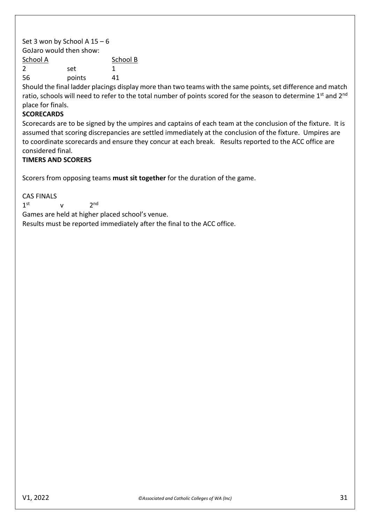Set 3 won by School A  $15 - 6$ GoJaro would then show: School A School B 2 set 1 56 points 41

Should the final ladder placings display more than two teams with the same points, set difference and match ratio, schools will need to refer to the total number of points scored for the season to determine 1<sup>st</sup> and 2<sup>nd</sup> place for finals.

### **SCORECARDS**

Scorecards are to be signed by the umpires and captains of each team at the conclusion of the fixture. It is assumed that scoring discrepancies are settled immediately at the conclusion of the fixture. Umpires are to coordinate scorecards and ensure they concur at each break. Results reported to the ACC office are considered final.

### **TIMERS AND SCORERS**

Scorers from opposing teams **must sit together** for the duration of the game.

CAS FINALS  $1<sup>st</sup>$  $v \t2$  $2<sub>nd</sub>$ Games are held at higher placed school's venue. Results must be reported immediately after the final to the ACC office.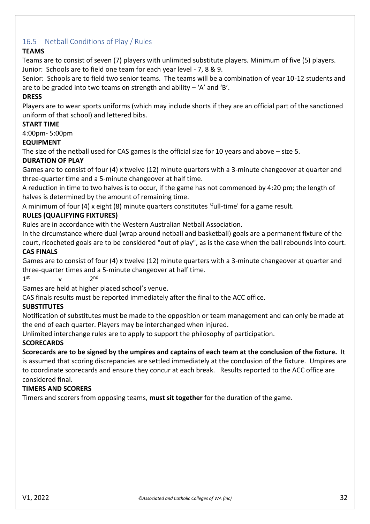# <span id="page-31-0"></span>16.5 Netball Conditions of Play / Rules

## **TEAMS**

Teams are to consist of seven (7) players with unlimited substitute players. Minimum of five (5) players. Junior: Schools are to field one team for each year level - 7, 8 & 9.

Senior: Schools are to field two senior teams. The teams will be a combination of year 10-12 students and are to be graded into two teams on strength and ability  $-$  'A' and 'B'.

## **DRESS**

Players are to wear sports uniforms (which may include shorts if they are an official part of the sanctioned uniform of that school) and lettered bibs.

## **START TIME**

4:00pm- 5:00pm

### **EQUIPMENT**

The size of the netball used for CAS games is the official size for 10 years and above – size 5.

## **DURATION OF PLAY**

Games are to consist of four (4) x twelve (12) minute quarters with a 3-minute changeover at quarter and three-quarter time and a 5-minute changeover at half time.

A reduction in time to two halves is to occur, if the game has not commenced by 4:20 pm; the length of halves is determined by the amount of remaining time.

A minimum of four (4) x eight (8) minute quarters constitutes 'full-time' for a game result.

# **RULES (QUALIFYING FIXTURES)**

Rules are in accordance with the Western Australian Netball Association.

In the circumstance where dual (wrap around netball and basketball) goals are a permanent fixture of the court, ricocheted goals are to be considered "out of play", as is the case when the ball rebounds into court. **CAS FINALS**

Games are to consist of four (4) x twelve (12) minute quarters with a 3-minute changeover at quarter and three-quarter times and a 5-minute changeover at half time.

 $1<sup>st</sup>$  $v \t2$  $2<sub>nd</sub>$ 

Games are held at higher placed school's venue.

CAS finals results must be reported immediately after the final to the ACC office.

## **SUBSTITUTES**

Notification of substitutes must be made to the opposition or team management and can only be made at the end of each quarter. Players may be interchanged when injured.

Unlimited interchange rules are to apply to support the philosophy of participation.

### **SCORECARDS**

**Scorecards are to be signed by the umpires and captains of each team at the conclusion of the fixture.** It is assumed that scoring discrepancies are settled immediately at the conclusion of the fixture. Umpires are to coordinate scorecards and ensure they concur at each break. Results reported to the ACC office are considered final.

### **TIMERS AND SCORERS**

Timers and scorers from opposing teams, **must sit together** for the duration of the game.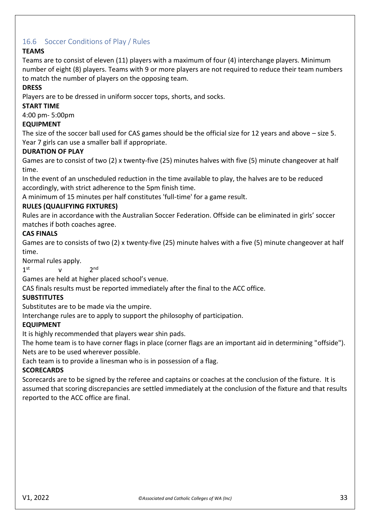# <span id="page-32-0"></span>16.6 Soccer Conditions of Play / Rules

# **TEAMS**

Teams are to consist of eleven (11) players with a maximum of four (4) interchange players. Minimum number of eight (8) players. Teams with 9 or more players are not required to reduce their team numbers to match the number of players on the opposing team.

# **DRESS**

Players are to be dressed in uniform soccer tops, shorts, and socks.

## **START TIME**

4:00 pm- 5:00pm

## **EQUIPMENT**

The size of the soccer ball used for CAS games should be the official size for 12 years and above – size 5. Year 7 girls can use a smaller ball if appropriate.

## **DURATION OF PLAY**

Games are to consist of two (2) x twenty-five (25) minutes halves with five (5) minute changeover at half time.

In the event of an unscheduled reduction in the time available to play, the halves are to be reduced accordingly, with strict adherence to the 5pm finish time.

A minimum of 15 minutes per half constitutes 'full-time' for a game result.

## **RULES (QUALIFYING FIXTURES)**

Rules are in accordance with the Australian Soccer Federation. Offside can be eliminated in girls' soccer matches if both coaches agree.

### **CAS FINALS**

Games are to consists of two (2) x twenty-five (25) minute halves with a five (5) minute changeover at half time.

Normal rules apply.

 $1<sup>st</sup>$  $v \t2$  $2<sub>nd</sub>$ 

Games are held at higher placed school's venue.

CAS finals results must be reported immediately after the final to the ACC office.

### **SUBSTITUTES**

Substitutes are to be made via the umpire.

Interchange rules are to apply to support the philosophy of participation.

### **EQUIPMENT**

It is highly recommended that players wear shin pads.

The home team is to have corner flags in place (corner flags are an important aid in determining "offside"). Nets are to be used wherever possible.

Each team is to provide a linesman who is in possession of a flag.

### **SCORECARDS**

<span id="page-32-1"></span>Scorecards are to be signed by the referee and captains or coaches at the conclusion of the fixture. It is assumed that scoring discrepancies are settled immediately at the conclusion of the fixture and that results reported to the ACC office are final.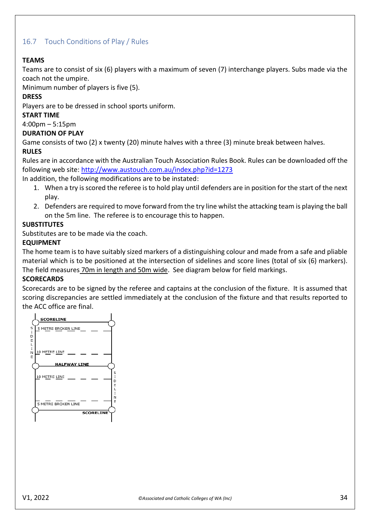# <span id="page-33-0"></span>16.7 Touch Conditions of Play / Rules

### **TEAMS**

Teams are to consist of six (6) players with a maximum of seven (7) interchange players. Subs made via the coach not the umpire.

Minimum number of players is five (5).

### **DRESS**

Players are to be dressed in school sports uniform.

### **START TIME**

4:00pm – 5:15pm

### **DURATION OF PLAY**

Game consists of two (2) x twenty (20) minute halves with a three (3) minute break between halves.

### **RULES**

Rules are in accordance with the Australian Touch Association Rules Book. Rules can be downloaded off the following web site[: http://www.austouch.com.au/index.php?id=1273](http://www.austouch.com.au/index.php?id=1273) 

In addition, the following modifications are to be instated:

- 1. When a try is scored the referee is to hold play until defenders are in position for the start of the next play.
- 2. Defenders are required to move forward from the try line whilst the attacking team is playing the ball on the 5m line. The referee is to encourage this to happen.

### **SUBSTITUTES**

Substitutes are to be made via the coach.

### **EQUIPMENT**

The home team is to have suitably sized markers of a distinguishing colour and made from a safe and pliable material which is to be positioned at the intersection of sidelines and score lines (total of six (6) markers). The field measures 70m in length and 50m wide. See diagram below for field markings.

### **SCORECARDS**

Scorecards are to be signed by the referee and captains at the conclusion of the fixture. It is assumed that scoring discrepancies are settled immediately at the conclusion of the fixture and that results reported to the ACC office are final.

<span id="page-33-1"></span>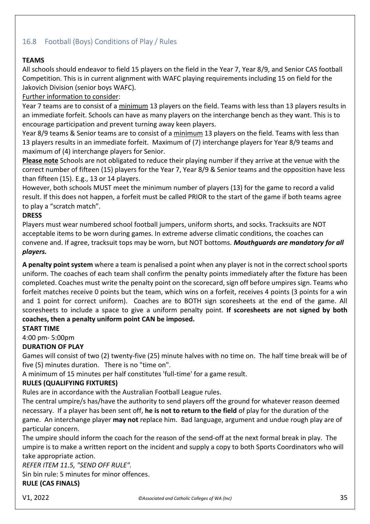# <span id="page-34-0"></span>16.8 Football (Boys) Conditions of Play / Rules

## **TEAMS**

All schools should endeavor to field 15 players on the field in the Year 7, Year 8/9, and Senior CAS football Competition. This is in current alignment with WAFC playing requirements including 15 on field for the Jakovich Division (senior boys WAFC).

## Further information to consider:

Year 7 teams are to consist of a minimum 13 players on the field. Teams with less than 13 players results in an immediate forfeit. Schools can have as many players on the interchange bench as they want. This is to encourage participation and prevent turning away keen players.

Year 8/9 teams & Senior teams are to consist of a minimum 13 players on the field. Teams with less than 13 players results in an immediate forfeit. Maximum of (7) interchange players for Year 8/9 teams and maximum of (4) interchange players for Senior.

**Please note** Schools are not obligated to reduce their playing number if they arrive at the venue with the correct number of fifteen (15) players for the Year 7, Year 8/9 & Senior teams and the opposition have less than fifteen (15). E.g., 13 or 14 players.

However, both schools MUST meet the minimum number of players (13) for the game to record a valid result. If this does not happen, a forfeit must be called PRIOR to the start of the game if both teams agree to play a "scratch match".

# **DRESS**

Players must wear numbered school football jumpers, uniform shorts, and socks. Tracksuits are NOT acceptable items to be worn during games. In extreme adverse climatic conditions, the coaches can convene and. If agree, tracksuit tops may be worn, but NOT bottoms. *Mouthguards are mandatory for all players.*

**A penalty point system** where a team is penalised a point when any player is not in the correct school sports uniform. The coaches of each team shall confirm the penalty points immediately after the fixture has been completed. Coaches must write the penalty point on the scorecard, sign off before umpires sign. Teams who forfeit matches receive 0 points but the team, which wins on a forfeit, receives 4 points (3 points for a win and 1 point for correct uniform). Coaches are to BOTH sign scoresheets at the end of the game. All scoresheets to include a space to give a uniform penalty point. **If scoresheets are not signed by both coaches, then a penalty uniform point CAN be imposed.**

## **START TIME**

# 4:00 pm- 5:00pm

## **DURATION OF PLAY**

Games will consist of two (2) twenty-five (25) minute halves with no time on. The half time break will be of five (5) minutes duration. There is no "time on".

A minimum of 15 minutes per half constitutes 'full-time' for a game result.

## **RULES (QUALIFYING FIXTURES)**

Rules are in accordance with the Australian Football League rules.

The central umpire/s has/have the authority to send players off the ground for whatever reason deemed necessary. If a player has been sent off, **he is not to return to the field** of play for the duration of the game. An interchange player **may not** replace him. Bad language, argument and undue rough play are of particular concern.

The umpire should inform the coach for the reason of the send-off at the next formal break in play. The umpire is to make a written report on the incident and supply a copy to both Sports Coordinators who will take appropriate action.

*REFER ITEM 11.5, "SEND OFF RULE".*

Sin bin rule: 5 minutes for minor offences.

# **RULE (CAS FINALS)**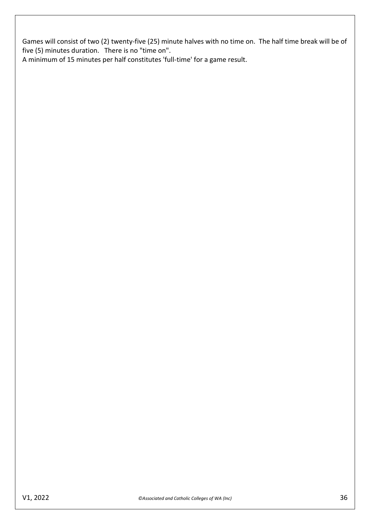Games will consist of two (2) twenty-five (25) minute halves with no time on. The half time break will be of five (5) minutes duration. There is no "time on".

A minimum of 15 minutes per half constitutes 'full-time' for a game result.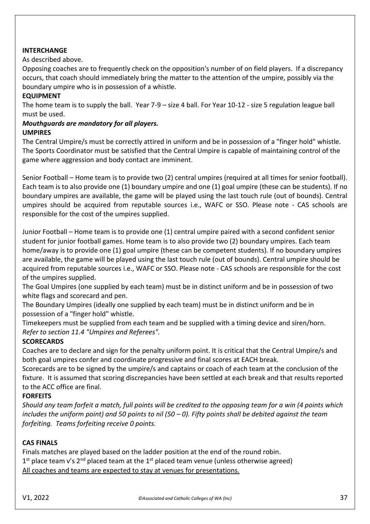### **INTERCHANGE**

As described above.

Opposing coaches are to frequently check on the opposition's number of on field players. If a discrepancy occurs, that coach should immediately bring the matter to the attention of the umpire, possibly via the boundary umpire who is in possession of a whistle.

### **EQUIPMENT**

The home team is to supply the ball. Year 7-9 – size 4 ball. For Year 10-12 - size 5 regulation league ball must be used.

#### *Mouthguards are mandatory for all players.* **UMPIRES**

The Central Umpire/s must be correctly attired in uniform and be in possession of a "finger hold" whistle. The Sports Coordinator must be satisfied that the Central Umpire is capable of maintaining control of the game where aggression and body contact are imminent.

Senior Football – Home team is to provide two (2) central umpires (required at all times for senior football). Each team is to also provide one (1) boundary umpire and one (1) goal umpire (these can be students). If no boundary umpires are available, the game will be played using the last touch rule (out of bounds). Central umpires should be acquired from reputable sources i.e., WAFC or SSO. Please note - CAS schools are responsible for the cost of the umpires supplied.

Junior Football – Home team is to provide one (1) central umpire paired with a second confident senior student for junior football games. Home team is to also provide two (2) boundary umpires. Each team home/away is to provide one (1) goal umpire (these can be competent students). If no boundary umpires are available, the game will be played using the last touch rule (out of bounds). Central umpire should be acquired from reputable sources i.e., WAFC or SSO. Please note - CAS schools are responsible for the cost of the umpires supplied.

The Goal Umpires (one supplied by each team) must be in distinct uniform and be in possession of two white flags and scorecard and pen.

The Boundary Umpires (ideally one supplied by each team) must be in distinct uniform and be in possession of a "finger hold" whistle.

Timekeepers must be supplied from each team and be supplied with a timing device and siren/horn. *Refer to section 11.4 "Umpires and Referees".*

## **SCORECARDS**

Coaches are to declare and sign for the penalty uniform point. It is critical that the Central Umpire/s and both goal umpires confer and coordinate progressive and final scores at EACH break.

Scorecards are to be signed by the umpire/s and captains or coach of each team at the conclusion of the fixture. It is assumed that scoring discrepancies have been settled at each break and that results reported to the ACC office are final.

### **FORFEITS**

*Should any team forfeit a match, full points will be credited to the opposing team for a win (4 points which includes the uniform point) and 50 points to nil (50 – 0). Fifty points shall be debited against the team forfeiting. Teams forfeiting receive 0 points.* 

### **CAS FINALS**

Finals matches are played based on the ladder position at the end of the round robin.  $1<sup>st</sup>$  place team v's  $2<sup>nd</sup>$  placed team at the  $1<sup>st</sup>$  placed team venue (unless otherwise agreed) All coaches and teams are expected to stay at venues for presentations.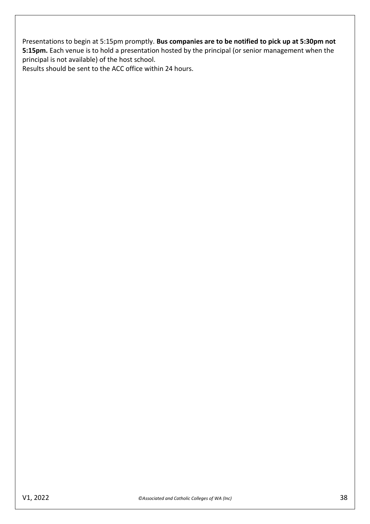Presentations to begin at 5:15pm promptly. **Bus companies are to be notified to pick up at 5:30pm not 5:15pm.** Each venue is to hold a presentation hosted by the principal (or senior management when the principal is not available) of the host school.

Results should be sent to the ACC office within 24 hours.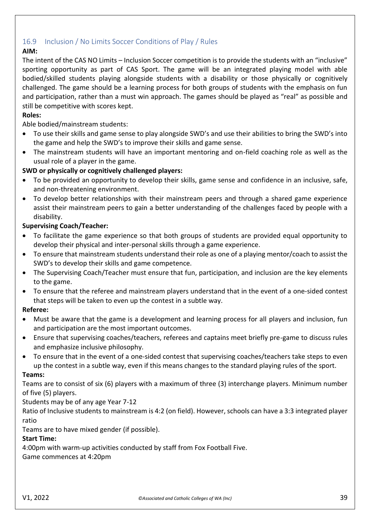# <span id="page-38-0"></span>16.9 Inclusion / No Limits Soccer Conditions of Play / Rules

# **AIM:**

The intent of the CAS NO Limits – Inclusion Soccer competition is to provide the students with an "inclusive" sporting opportunity as part of CAS Sport. The game will be an integrated playing model with able bodied/skilled students playing alongside students with a disability or those physically or cognitively challenged. The game should be a learning process for both groups of students with the emphasis on fun and participation, rather than a must win approach. The games should be played as "real" as possible and still be competitive with scores kept.

## **Roles:**

Able bodied/mainstream students:

- To use their skills and game sense to play alongside SWD's and use their abilities to bring the SWD's into the game and help the SWD's to improve their skills and game sense.
- The mainstream students will have an important mentoring and on-field coaching role as well as the usual role of a player in the game.

## **SWD or physically or cognitively challenged players:**

- To be provided an opportunity to develop their skills, game sense and confidence in an inclusive, safe, and non-threatening environment.
- To develop better relationships with their mainstream peers and through a shared game experience assist their mainstream peers to gain a better understanding of the challenges faced by people with a disability.

### **Supervising Coach/Teacher:**

- To facilitate the game experience so that both groups of students are provided equal opportunity to develop their physical and inter-personal skills through a game experience.
- To ensure that mainstream students understand their role as one of a playing mentor/coach to assist the SWD's to develop their skills and game competence.
- The Supervising Coach/Teacher must ensure that fun, participation, and inclusion are the key elements to the game.
- To ensure that the referee and mainstream players understand that in the event of a one-sided contest that steps will be taken to even up the contest in a subtle way.

## **Referee:**

- Must be aware that the game is a development and learning process for all players and inclusion, fun and participation are the most important outcomes.
- Ensure that supervising coaches/teachers, referees and captains meet briefly pre-game to discuss rules and emphasize inclusive philosophy.
- To ensure that in the event of a one-sided contest that supervising coaches/teachers take steps to even up the contest in a subtle way, even if this means changes to the standard playing rules of the sport.

### **Teams:**

Teams are to consist of six (6) players with a maximum of three (3) interchange players. Minimum number of five (5) players.

## Students may be of any age Year 7-12

Ratio of Inclusive students to mainstream is 4:2 (on field). However, schools can have a 3:3 integrated player ratio

Teams are to have mixed gender (if possible).

## **Start Time:**

4:00pm with warm-up activities conducted by staff from Fox Football Five.

Game commences at 4:20pm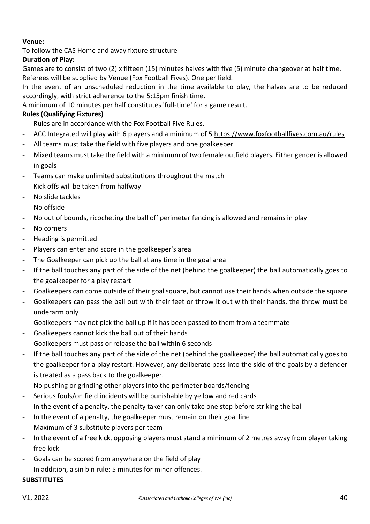## **Venue:**

To follow the CAS Home and away fixture structure

# **Duration of Play:**

Games are to consist of two (2) x fifteen (15) minutes halves with five (5) minute changeover at half time. Referees will be supplied by Venue (Fox Football Fives). One per field.

In the event of an unscheduled reduction in the time available to play, the halves are to be reduced accordingly, with strict adherence to the 5:15pm finish time.

A minimum of 10 minutes per half constitutes 'full-time' for a game result.

# **Rules (Qualifying Fixtures)**

- Rules are in accordance with the Fox Football Five Rules.
- ACC Integrated will play with 6 players and a minimum of 5<https://www.foxfootballfives.com.au/rules>
- All teams must take the field with five players and one goalkeeper
- Mixed teams must take the field with a minimum of two female outfield players. Either gender is allowed in goals
- Teams can make unlimited substitutions throughout the match
- Kick offs will be taken from halfway
- No slide tackles
- No offside
- No out of bounds, ricocheting the ball off perimeter fencing is allowed and remains in play
- No corners
- Heading is permitted
- Players can enter and score in the goalkeeper's area
- The Goalkeeper can pick up the ball at any time in the goal area
- If the ball touches any part of the side of the net (behind the goalkeeper) the ball automatically goes to the goalkeeper for a play restart
- Goalkeepers can come outside of their goal square, but cannot use their hands when outside the square
- Goalkeepers can pass the ball out with their feet or throw it out with their hands, the throw must be underarm only
- Goalkeepers may not pick the ball up if it has been passed to them from a teammate
- Goalkeepers cannot kick the ball out of their hands
- Goalkeepers must pass or release the ball within 6 seconds
- If the ball touches any part of the side of the net (behind the goalkeeper) the ball automatically goes to the goalkeeper for a play restart. However, any deliberate pass into the side of the goals by a defender is treated as a pass back to the goalkeeper.
- No pushing or grinding other players into the perimeter boards/fencing
- Serious fouls/on field incidents will be punishable by yellow and red cards
- In the event of a penalty, the penalty taker can only take one step before striking the ball
- In the event of a penalty, the goalkeeper must remain on their goal line
- Maximum of 3 substitute players per team
- In the event of a free kick, opposing players must stand a minimum of 2 metres away from player taking free kick
- Goals can be scored from anywhere on the field of play
- In addition, a sin bin rule: 5 minutes for minor offences.

## **SUBSTITUTES**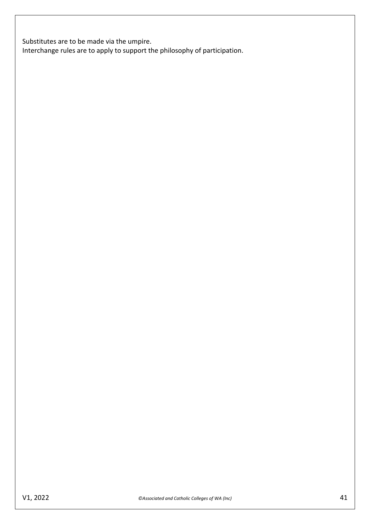Substitutes are to be made via the umpire.

Interchange rules are to apply to support the philosophy of participation.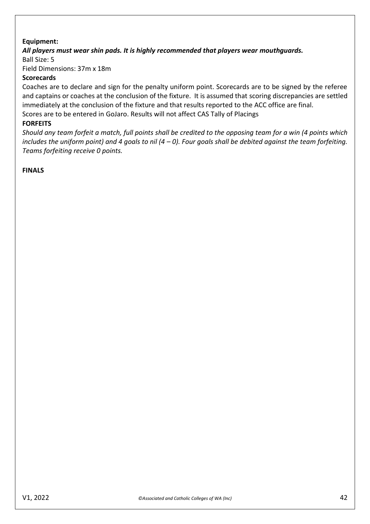## **Equipment:**

### *All players must wear shin pads. It is highly recommended that players wear mouthguards.*

Ball Size: 5

Field Dimensions: 37m x 18m

#### **Scorecards**

Coaches are to declare and sign for the penalty uniform point. Scorecards are to be signed by the referee and captains or coaches at the conclusion of the fixture. It is assumed that scoring discrepancies are settled immediately at the conclusion of the fixture and that results reported to the ACC office are final.

Scores are to be entered in GoJaro. Results will not affect CAS Tally of Placings

#### **FORFEITS**

*Should any team forfeit a match, full points shall be credited to the opposing team for a win (4 points which includes the uniform point) and 4 goals to nil (4 – 0). Four goals shall be debited against the team forfeiting. Teams forfeiting receive 0 points.* 

### **FINALS**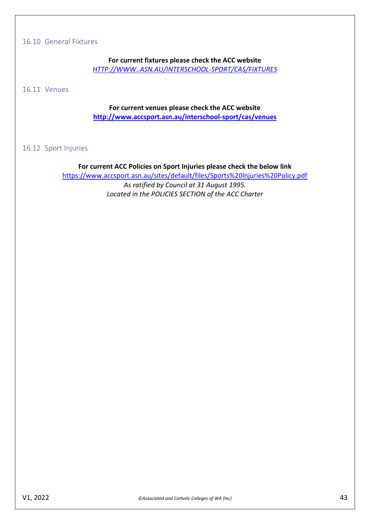### <span id="page-42-0"></span>16.10 General Fixtures

**For current fixtures please check the ACC website** *[HTTP://WWW..ASN.AU/INTERSCHOOL-SPORT/CAS/FIXTURES](http://www.accsport.asn.au/interschool-sport/cas/fixtures)*

<span id="page-42-1"></span>16.11 Venues

## **For current venues please check the ACC website <http://www.accsport.asn.au/interschool-sport/cas/venues>**

### <span id="page-42-2"></span>16.12 Sport Injuries

#### **For current ACC Policies on Sport Injuries please check the below link**

<https://www.accsport.asn.au/sites/default/files/Sports%20Injuries%20Policy.pdf> *As ratified by Council at 31 August 1995. Located in the POLICIES SECTION of the ACC Charter*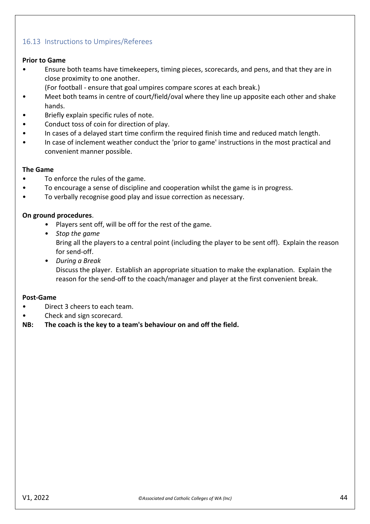# <span id="page-43-0"></span>16.13 Instructions to Umpires/Referees

### **Prior to Game**

- Ensure both teams have timekeepers, timing pieces, scorecards, and pens, and that they are in close proximity to one another.
	- (For football ensure that goal umpires compare scores at each break.)
- Meet both teams in centre of court/field/oval where they line up apposite each other and shake hands.
- Briefly explain specific rules of note.
- Conduct toss of coin for direction of play.
- In cases of a delayed start time confirm the required finish time and reduced match length.
- In case of inclement weather conduct the 'prior to game' instructions in the most practical and convenient manner possible.

### **The Game**

- To enforce the rules of the game.
- To encourage a sense of discipline and cooperation whilst the game is in progress.
- To verbally recognise good play and issue correction as necessary.

### **On ground procedures**.

- Players sent off, will be off for the rest of the game.
- *Stop the game*

Bring all the players to a central point (including the player to be sent off). Explain the reason for send-off.

• *During a Break* Discuss the player. Establish an appropriate situation to make the explanation. Explain the reason for the send-off to the coach/manager and player at the first convenient break.

### **Post-Game**

- Direct 3 cheers to each team.
- Check and sign scorecard.

### **NB: The coach is the key to a team's behaviour on and off the field.**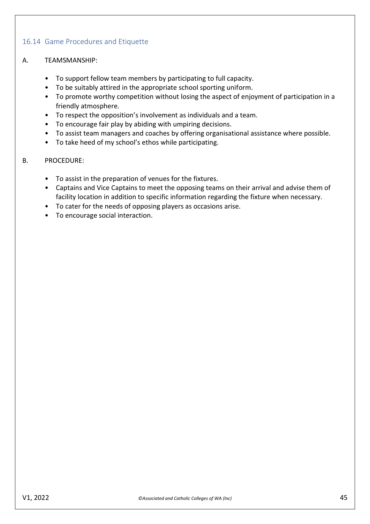# <span id="page-44-0"></span>16.14 Game Procedures and Etiquette

- A. TEAMSMANSHIP:
	- To support fellow team members by participating to full capacity.
	- To be suitably attired in the appropriate school sporting uniform.
	- To promote worthy competition without losing the aspect of enjoyment of participation in a friendly atmosphere.
	- To respect the opposition's involvement as individuals and a team.
	- To encourage fair play by abiding with umpiring decisions.
	- To assist team managers and coaches by offering organisational assistance where possible.
	- To take heed of my school's ethos while participating.
- B. PROCEDURE:
	- To assist in the preparation of venues for the fixtures.
	- Captains and Vice Captains to meet the opposing teams on their arrival and advise them of facility location in addition to specific information regarding the fixture when necessary.
	- To cater for the needs of opposing players as occasions arise.
	- To encourage social interaction.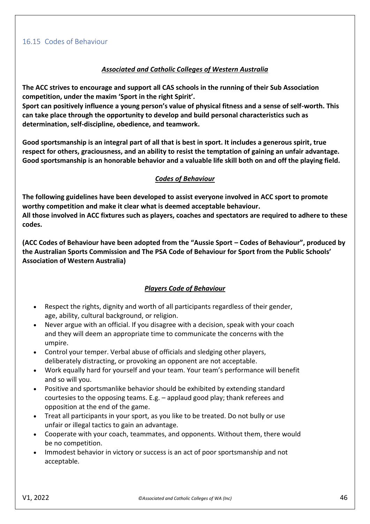## *Associated and Catholic Colleges of Western Australia*

<span id="page-45-0"></span>**The ACC strives to encourage and support all CAS schools in the running of their Sub Association competition, under the maxim 'Sport in the right Spirit'.** 

**Sport can positively influence a young person's value of physical fitness and a sense of self-worth. This can take place through the opportunity to develop and build personal characteristics such as determination, self-discipline, obedience, and teamwork.** 

**Good sportsmanship is an integral part of all that is best in sport. It includes a generous spirit, true respect for others, graciousness, and an ability to resist the temptation of gaining an unfair advantage. Good sportsmanship is an honorable behavior and a valuable life skill both on and off the playing field.** 

## *Codes of Behaviour*

**The following guidelines have been developed to assist everyone involved in ACC sport to promote worthy competition and make it clear what is deemed acceptable behaviour. All those involved in ACC fixtures such as players, coaches and spectators are required to adhere to these codes.** 

**(ACC Codes of Behaviour have been adopted from the "Aussie Sport – Codes of Behaviour", produced by the Australian Sports Commission and The PSA Code of Behaviour for Sport from the Public Schools' Association of Western Australia)**

## *Players Code of Behaviour*

- Respect the rights, dignity and worth of all participants regardless of their gender, age, ability, cultural background, or religion.
- Never argue with an official. If you disagree with a decision, speak with your coach and they will deem an appropriate time to communicate the concerns with the umpire.
- Control your temper. Verbal abuse of officials and sledging other players, deliberately distracting, or provoking an opponent are not acceptable.
- Work equally hard for yourself and your team. Your team's performance will benefit and so will you.
- Positive and sportsmanlike behavior should be exhibited by extending standard courtesies to the opposing teams. E.g. – applaud good play; thank referees and opposition at the end of the game.
- Treat all participants in your sport, as you like to be treated. Do not bully or use unfair or illegal tactics to gain an advantage.
- Cooperate with your coach, teammates, and opponents. Without them, there would be no competition.
- Immodest behavior in victory or success is an act of poor sportsmanship and not acceptable.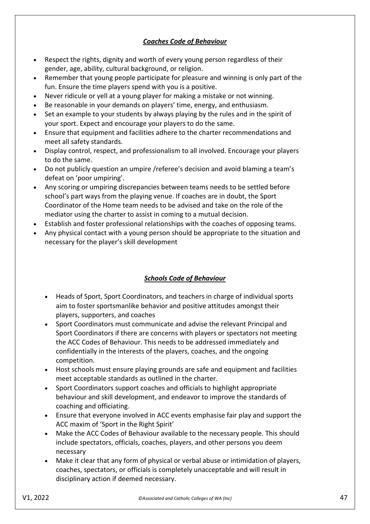# *Coaches Code of Behaviour*

- Respect the rights, dignity and worth of every young person regardless of their gender, age, ability, cultural background, or religion.
- Remember that young people participate for pleasure and winning is only part of the fun. Ensure the time players spend with you is a positive.
- Never ridicule or yell at a young player for making a mistake or not winning.
- Be reasonable in your demands on players' time, energy, and enthusiasm.
- Set an example to your students by always playing by the rules and in the spirit of your sport. Expect and encourage your players to do the same.
- Ensure that equipment and facilities adhere to the charter recommendations and meet all safety standards.
- Display control, respect, and professionalism to all involved. Encourage your players to do the same.
- Do not publicly question an umpire /referee's decision and avoid blaming a team's defeat on 'poor umpiring'.
- Any scoring or umpiring discrepancies between teams needs to be settled before school's part ways from the playing venue. If coaches are in doubt, the Sport Coordinator of the Home team needs to be advised and take on the role of the mediator using the charter to assist in coming to a mutual decision.
- Establish and foster professional relationships with the coaches of opposing teams.
- Any physical contact with a young person should be appropriate to the situation and necessary for the player's skill development

## *Schools Code of Behaviour*

- Heads of Sport, Sport Coordinators, and teachers in charge of individual sports aim to foster sportsmanlike behavior and positive attitudes amongst their players, supporters, and coaches
- Sport Coordinators must communicate and advise the relevant Principal and Sport Coordinators if there are concerns with players or spectators not meeting the ACC Codes of Behaviour. This needs to be addressed immediately and confidentially in the interests of the players, coaches, and the ongoing competition.
- Host schools must ensure playing grounds are safe and equipment and facilities meet acceptable standards as outlined in the charter.
- Sport Coordinators support coaches and officials to highlight appropriate behaviour and skill development, and endeavor to improve the standards of coaching and officiating.
- Ensure that everyone involved in ACC events emphasise fair play and support the ACC maxim of 'Sport in the Right Spirit'
- Make the ACC Codes of Behaviour available to the necessary people. This should include spectators, officials, coaches, players, and other persons you deem necessary
- Make it clear that any form of physical or verbal abuse or intimidation of players, coaches, spectators, or officials is completely unacceptable and will result in disciplinary action if deemed necessary.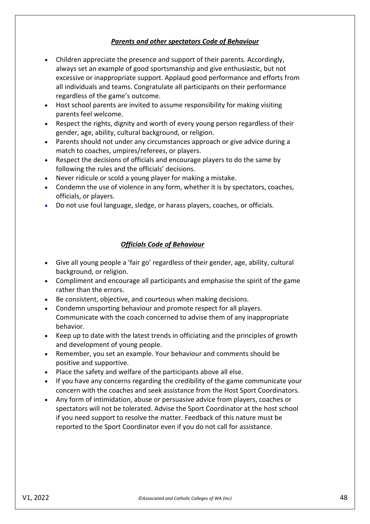### *Parents and other spectators Code of Behaviour*

- Children appreciate the presence and support of their parents. Accordingly, always set an example of good sportsmanship and give enthusiastic, but not excessive or inappropriate support. Applaud good performance and efforts from all individuals and teams. Congratulate all participants on their performance regardless of the game's outcome.
- Host school parents are invited to assume responsibility for making visiting parents feel welcome.
- Respect the rights, dignity and worth of every young person regardless of their gender, age, ability, cultural background, or religion.
- Parents should not under any circumstances approach or give advice during a match to coaches, umpires/referees, or players.
- Respect the decisions of officials and encourage players to do the same by following the rules and the officials' decisions.
- Never ridicule or scold a young player for making a mistake.
- Condemn the use of violence in any form, whether it is by spectators, coaches, officials, or players.
- Do not use foul language, sledge, or harass players, coaches, or officials.

### *Officials Code of Behaviour*

- Give all young people a 'fair go' regardless of their gender, age, ability, cultural background, or religion.
- Compliment and encourage all participants and emphasise the spirit of the game rather than the errors.
- Be consistent, objective, and courteous when making decisions.
- Condemn unsporting behaviour and promote respect for all players. Communicate with the coach concerned to advise them of any inappropriate behavior.
- Keep up to date with the latest trends in officiating and the principles of growth and development of young people.
- Remember, you set an example. Your behaviour and comments should be positive and supportive.
- Place the safety and welfare of the participants above all else.
- If you have any concerns regarding the credibility of the game communicate your concern with the coaches and seek assistance from the Host Sport Coordinators.
- Any form of intimidation, abuse or persuasive advice from players, coaches or spectators will not be tolerated. Advise the Sport Coordinator at the host school if you need support to resolve the matter. Feedback of this nature must be reported to the Sport Coordinator even if you do not call for assistance.